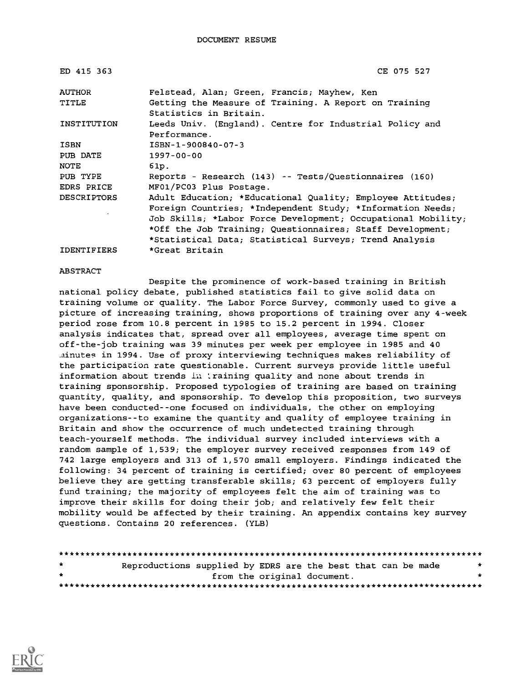| ED 415 363         | CE 075 527                                                                      |
|--------------------|---------------------------------------------------------------------------------|
| <b>AUTHOR</b>      | Felstead, Alan; Green, Francis; Mayhew, Ken                                     |
| TITLE              | Getting the Measure of Training. A Report on Training<br>Statistics in Britain. |
| INSTITUTION        | Leeds Univ. (England). Centre for Industrial Policy and<br>Performance.         |
| <b>ISBN</b>        | ISBN-1-900840-07-3                                                              |
| PUB DATE           | $1997 - 00 - 00$                                                                |
| <b>NOTE</b>        | 61p.                                                                            |
| PUB TYPE           | Reports - Research (143) -- Tests/Questionnaires (160)                          |
| EDRS PRICE         | MF01/PC03 Plus Postage.                                                         |
| <b>DESCRIPTORS</b> | Adult Education; *Educational Quality; Employee Attitudes;                      |
|                    | Foreign Countries; *Independent Study; *Information Needs;                      |
|                    | Job Skills; *Labor Force Development; Occupational Mobility;                    |
|                    | *Off the Job Training; Questionnaires; Staff Development;                       |
|                    | *Statistical Data; Statistical Surveys; Trend Analysis                          |
| <b>IDENTIFIERS</b> | *Great Britain                                                                  |

#### ABSTRACT

Despite the prominence of work-based training in British national policy debate, published statistics fail to give solid data on training volume or quality. The Labor Force Survey, commonly used to give a picture of increasing training, shows proportions of training over any 4-week period rose from 10.8 percent in 1985 to 15.2 percent in 1994. Closer analysis indicates that, spread over all employees, average time spent on off-the-job training was 39 minutes per week per employee in 1985 and 40 .ainutes in 1994. Use of proxy interviewing techniques makes reliability of the participation rate questionable. Current surveys provide little useful information about trends in training quality and none about trends in training sponsorship. Proposed typologies of training are based on training quantity, quality, and sponsorship. To develop this proposition, two surveys have been conducted--one focused on individuals, the other on employing organizations--to examine the quantity and quality of employee training in Britain and show the occurrence of much undetected training through teach-yourself methods. The individual survey included interviews with a random sample of 1,539; the employer survey received responses from 149 of 742 large employers and 313 of 1,570 small employers. Findings indicated the following: 34 percent of training is certified; over 80 percent of employees believe they are getting transferable skills; 63 percent of employers fully fund training; the majority of employees felt the aim of training was to improve their skills for doing their job; and relatively few felt their mobility would be affected by their training. An appendix contains key survey questions. Contains 20 references. (YLB)

| $\pm$ | Reproductions supplied by EDRS are the best that can be made |                             |  |  | * |
|-------|--------------------------------------------------------------|-----------------------------|--|--|---|
| $\pm$ |                                                              | from the original document. |  |  |   |
|       |                                                              |                             |  |  |   |

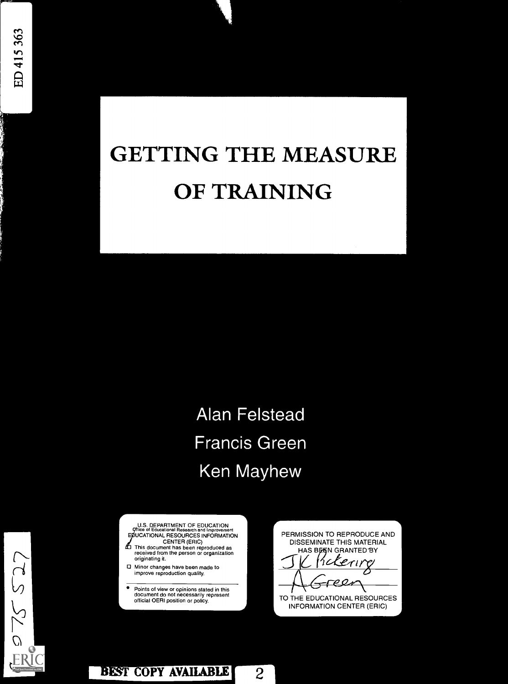# GETTING THE MEASURE OF TRAINING

**Alan Felstead Francis Green** avnew

U.S. DEPARTMENT OF EDUCATION<br>
Office of Educational Research and Longuage 9ltice of Educational Research and Improvement E UCATIONAL RESOURCES INFORMATION

- CENTER (ERIC) This document has been reproduced as received from the person or organization originating it
- Minor changes have been made to improve reproduction quality
- Points of view or opinions stated in this document do not necessarily represent official OERI position or policy

PERMISSION TO REPRODUCE AND DISSEMINATE THIS MATERIAL HAS BEEN GRANTED BY  $\mathcal{L}_{\mathcal{L}}$ Ce-C2-4°N ⋽ TO THE EDUCATIONAL RESOURCES INFORMATION CENTER (ERIC)



BEST COPY AVAILABLE 2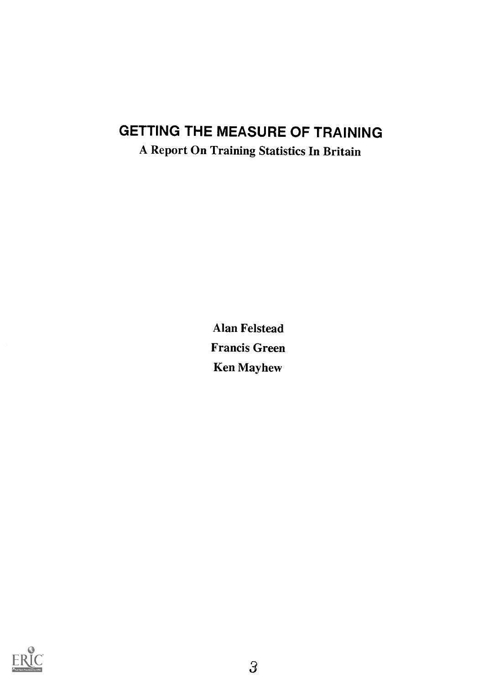## GETTING THE MEASURE OF TRAINING

A Report On Training Statistics In Britain

Alan Felstead Francis Green Ken Mayhew

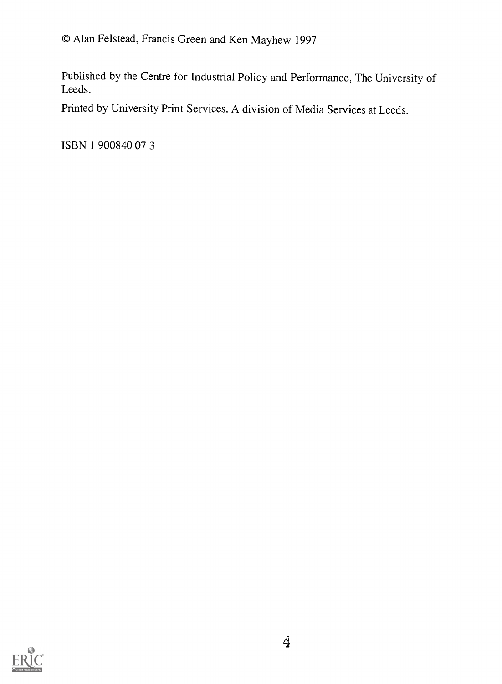Published by the Centre for Industrial Policy and Performance, The University of Leeds.

Printed by University Print Services. A division of Media Services at Leeds.

ISBN 1 900840 07 3

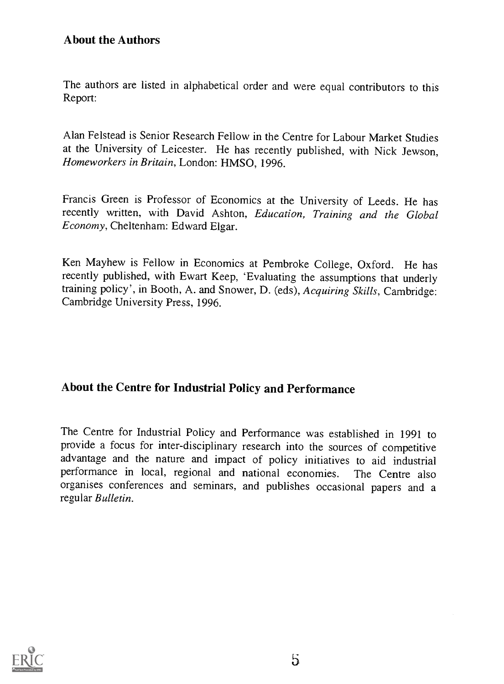The authors are listed in alphabetical order and were equal contributors to this Report:

Alan Felstead is Senior Research Fellow in the Centre for Labour Market Studies at the University of Leicester. He has recently published, with Nick Jewson, Homeworkers in Britain, London: HMSO, 1996.

Francis Green is Professor of Economics at the University of Leeds. He has recently written, with David Ashton, Education, Training and the Global Economy, Cheltenham: Edward Elgar.

Ken Mayhew is Fellow in Economics at Pembroke College, Oxford. He has recently published, with Ewart Keep, 'Evaluating the assumptions that underly training policy', in Booth, A. and Snower, D. (eds), Acquiring Skills, Cambridge: Cambridge University Press, 1996.

## About the Centre for Industrial Policy and Performance

The Centre for Industrial Policy and Performance was established in 1991 to provide a focus for inter-disciplinary research into the sources of competitive advantage and the nature and impact of policy initiatives to aid industrial performance in local, regional and national economies. The Centre also organises conferences and seminars, and publishes occasional papers and a regular Bulletin.

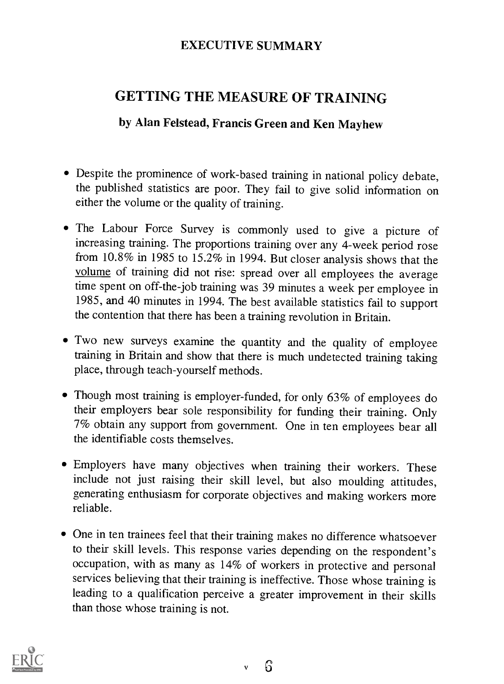## EXECUTIVE SUMMARY

## GETTING THE MEASURE OF TRAINING

## by Alan Felstead, Francis Green and Ken Mayhew

- Despite the prominence of work-based training in national policy debate, the published statistics are poor. They fail to give solid information on either the volume or the quality of training.
- The Labour Force Survey is commonly used to give a picture of increasing training. The proportions training over any 4-week period rose from 10.8% in 1985 to 15.2% in 1994. But closer analysis shows that the volume of training did not rise: spread over all employees the average time spent on off-the-job training was 39 minutes a week per employee in 1985, and 40 minutes in 1994. The best available statistics fail to support the contention that there has been a training revolution in Britain.
- Two new surveys examine the quantity and the quality of employee training in Britain and show that there is much undetected training taking place, through teach-yourself methods.
- Though most training is employer-funded, for only 63% of employees do their employers bear sole responsibility for funding their training. Only 7% obtain any support from government. One in ten employees bear all the identifiable costs themselves.
- Employers have many objectives when training their workers. These include not just raising their skill level, but also moulding attitudes, generating enthusiasm for corporate objectives and making workers more reliable.
- One in ten trainees feel that their training makes no difference whatsoever to their skill levels. This response varies depending on the respondent's occupation, with as many as 14% of workers in protective and personal services believing that their training is ineffective. Those whose training is leading to a qualification perceive a greater improvement in their skills than those whose training is not.

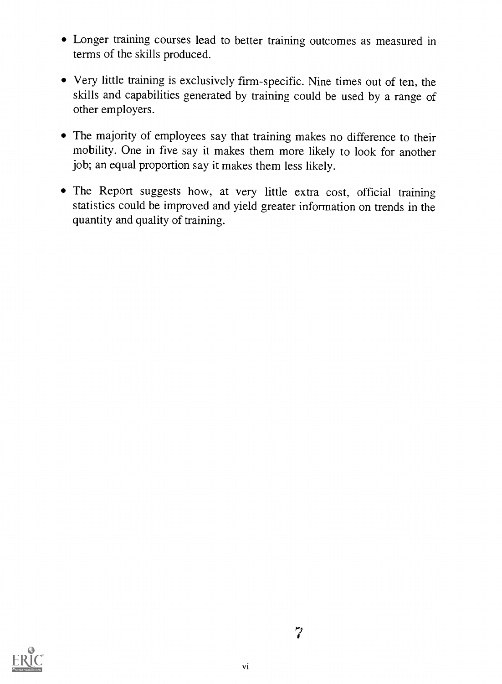- Longer training courses lead to better training outcomes as measured in terms of the skills produced.
- Very little training is exclusively firm-specific. Nine times out of ten, the skills and capabilities generated by training could be used by a range of other employers.
- The majority of employees say that training makes no difference to their mobility. One in five say it makes them more likely to look for another job; an equal proportion say it makes them less likely.
- The Report suggests how, at very little extra cost, official training statistics could be improved and yield greater information on trends in the quantity and quality of training.

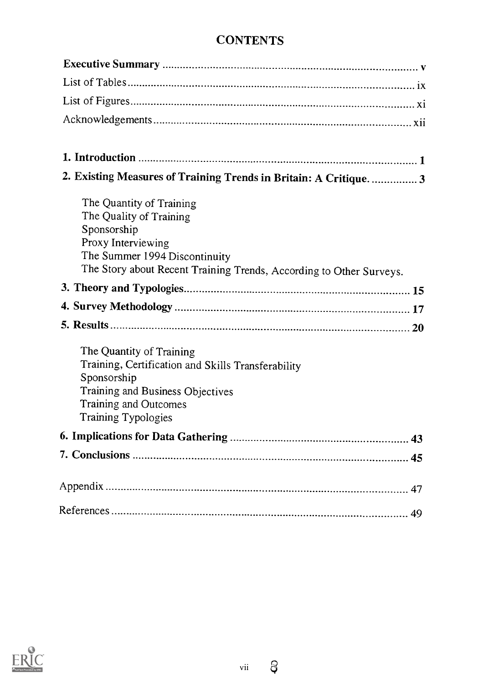## **CONTENTS**

| 2. Existing Measures of Training Trends in Britain: A Critique 3                                                                                                                                 |  |
|--------------------------------------------------------------------------------------------------------------------------------------------------------------------------------------------------|--|
| The Quantity of Training<br>The Quality of Training<br>Sponsorship<br>Proxy Interviewing<br>The Summer 1994 Discontinuity<br>The Story about Recent Training Trends, According to Other Surveys. |  |
|                                                                                                                                                                                                  |  |
|                                                                                                                                                                                                  |  |
|                                                                                                                                                                                                  |  |
| The Quantity of Training<br>Training, Certification and Skills Transferability<br>Sponsorship<br>Training and Business Objectives<br><b>Training and Outcomes</b><br>Training Typologies         |  |
|                                                                                                                                                                                                  |  |
|                                                                                                                                                                                                  |  |
|                                                                                                                                                                                                  |  |
|                                                                                                                                                                                                  |  |



 $\beta$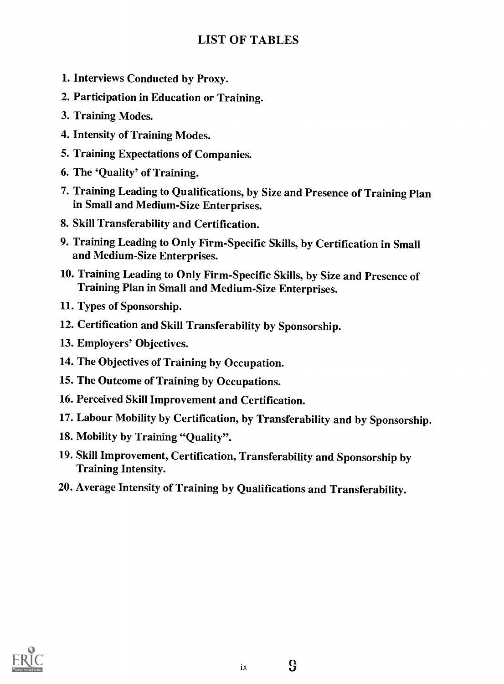## LIST OF TABLES

- 1. Interviews Conducted by Proxy.
- 2. Participation in Education or Training.
- 3. Training Modes.
- 4. Intensity of Training Modes.
- 5. Training Expectations of Companies.
- 6. The 'Quality' of Training.
- 7. Training Leading to Qualifications, by Size and Presence of Training Plan in Small and Medium-Size Enterprises.
- 8. Skill Transferability and Certification.
- 9. Training Leading to Only Firm-Specific Skills, by Certification in Small and Medium-Size Enterprises.
- 10. Training Leading to Only Firm-Specific Skills, by Size and Presence of Training Plan in Small and Medium-Size Enterprises.
- 11. Types of Sponsorship.
- 12. Certification and Skill Transferability by Sponsorship.
- 13. Employers' Objectives.
- 14. The Objectives of Training by Occupation.
- 15. The Outcome of Training by Occupations.
- 16. Perceived Skill Improvement and Certification.
- 17. Labour Mobility by Certification, by Transferability and by Sponsorship.
- 18. Mobility by Training "Quality".
- 19. Skill Improvement, Certification, Transferability and Sponsorship by Training Intensity.
- 20. Average Intensity of Training by Qualifications and Transferability.

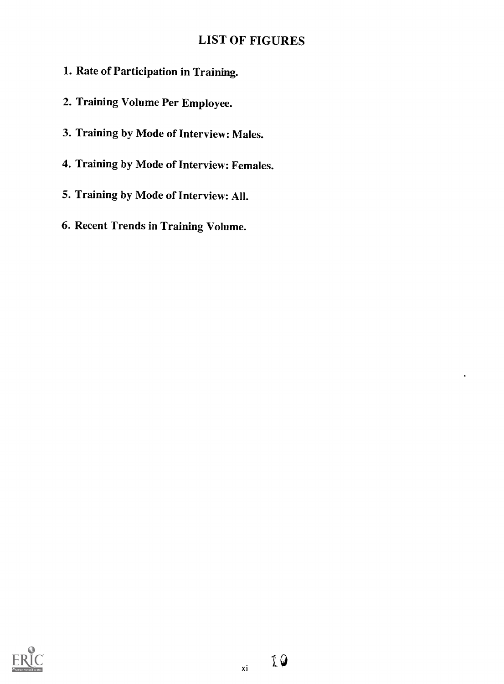## LIST OF FIGURES

- 1. Rate of Participation in Training.
- 2. Training Volume Per Employee.
- 3. Training by Mode of Interview: Males.
- 4. Training by Mode of Interview: Females.
- 5. Training by Mode of Interview: All.
- 6. Recent Trends in Training Volume.



 $\cdot$ 

xi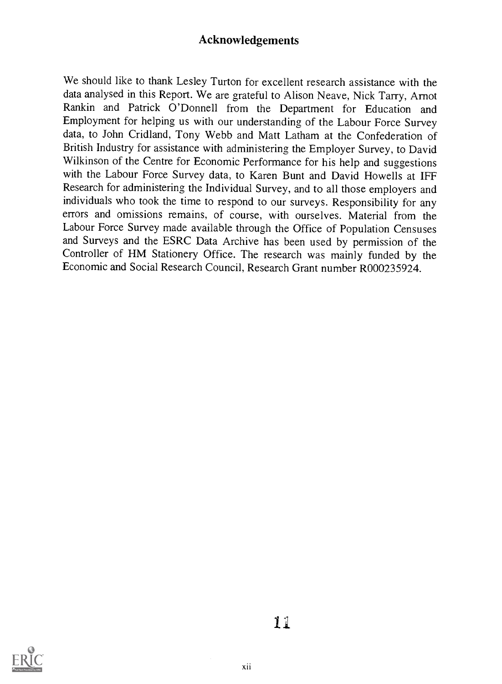## Acknowledgements

We should like to thank Lesley Turton for excellent research assistance with the data analysed in this Report. We are grateful to Alison Neave, Nick Tarry, Arnot Rankin and Patrick O'Donnell from the Department for Education and Employment for helping us with our understanding of the Labour Force Survey data, to John Cridland, Tony Webb and Matt Latham at the Confederation of British Industry for assistance with administering the Employer Survey, to David Wilkinson of the Centre for Economic Performance for his help and suggestions with the Labour Force Survey data, to Karen Bunt and David Howells at IFF Research for administering the Individual Survey, and to all those employers and individuals who took the time to respond to our surveys. Responsibility for any errors and omissions remains, of course, with ourselves. Material from the Labour Force Survey made available through the Office of Population Censuses and Surveys and the ESRC Data Archive has been used by permission of the Controller of HM Stationery Office. The research was mainly funded by the Economic and Social Research Council, Research Grant number R000235924.



iii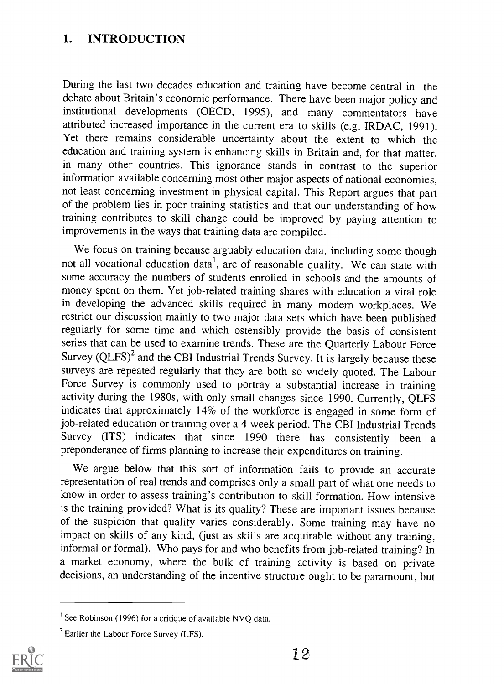## 1. INTRODUCTION

During the last two decades education and training have become central in the debate about Britain's economic performance. There have been major policy and institutional developments (OECD, 1995), and many commentators have attributed increased importance in the current era to skills (e.g. IRDAC, 1991). Yet there remains considerable uncertainty about the extent to which the education and training system is enhancing skills in Britain and, for that matter, in many other countries. This ignorance stands in contrast to the superior information available concerning most other major aspects of national economies, not least concerning investment in physical capital. This Report argues that part of the problem lies in poor training statistics and that our understanding of how training contributes to skill change could be improved by paying attention to improvements in the ways that training data are compiled.

We focus on training because arguably education data, including some though not all vocational education data<sup>1</sup>, are of reasonable quality. We can state with some accuracy the numbers of students enrolled in schools and the amounts of money spent on them. Yet job-related training shares with education a vital role in developing the advanced skills required in many modem workplaces. We restrict our discussion mainly to two major data sets which have been published regularly for some time and which ostensibly provide the basis of consistent series that can be used to examine trends. These are the Quarterly Labour Force Survey  $(QLFS)^2$  and the CBI Industrial Trends Survey. It is largely because these surveys are repeated regularly that they are both so widely quoted. The Labour Force Survey is commonly used to portray a substantial increase in training activity during the 1980s, with only small changes since 1990. Currently, QLFS indicates that approximately 14% of the workforce is engaged in some form of job-related education or training over a 4-week period. The CBI Industrial Trends Survey (ITS) indicates that since 1990 there has consistently been a preponderance of firms planning to increase their expenditures on training.

We argue below that this sort of information fails to provide an accurate representation of real trends and comprises only a small part of what one needs to know in order to assess training's contribution to skill formation. How intensive is the training provided? What is its quality? These are important issues because of the suspicion that quality varies considerably. Some training may have no impact on skills of any kind, (just as skills are acquirable without any training, informal or formal). Who pays for and who benefits from job-related training? In a market economy, where the bulk of training activity is based on private decisions, an understanding of the incentive structure ought to be paramount, but

 $2^{2}$  Earlier the Labour Force Survey (LFS).



<sup>&</sup>lt;sup>1</sup> See Robinson (1996) for a critique of available NVQ data.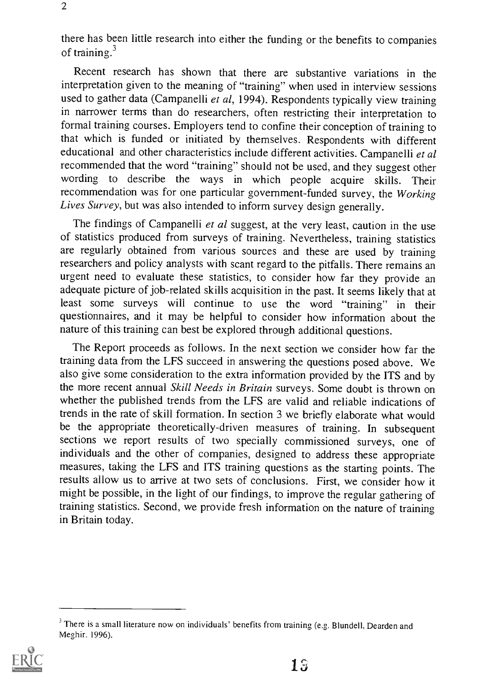there has been little research into either the funding or the benefits to companies of training.3

Recent research has shown that there are substantive variations in the interpretation given to the meaning of "training" when used in interview sessions used to gather data (Campanelli et al, 1994). Respondents typically view training in narrower terms than do researchers, often restricting their interpretation to formal training courses. Employers tend to confine their conception of training to that which is funded or initiated by themselves. Respondents with different educational and other characteristics include different activities. Campanelli et al recommended that the word "training" should not be used, and they suggest other wording to describe the ways in which people acquire skills. Their recommendation was for one particular government-funded survey, the Working Lives Survey, but was also intended to inform survey design generally.

The findings of Campanelli et al suggest, at the very least, caution in the use of statistics produced from surveys of training. Nevertheless, training statistics are regularly obtained from various sources and these are used by training researchers and policy analysts with scant regard to the pitfalls. There remains an urgent need to evaluate these statistics, to consider how far they provide an adequate picture of job-related skills acquisition in the past. It seems likely that at least some surveys will continue to use the word "training" in their questionnaires, and it may be helpful to consider how information about the nature of this training can best be explored through additional questions.

The Report proceeds as follows. In the next section we consider how far the training data from the LFS succeed in answering the questions posed above. We also give some consideration to the extra information provided by the ITS and by the more recent annual Skill Needs in Britain surveys. Some doubt is thrown on whether the published trends from the LFS are valid and reliable indications of trends in the rate of skill formation. In section 3 we briefly elaborate what would be the appropriate theoretically-driven measures of training. In subsequent sections we report results of two specially commissioned surveys, one of individuals and the other of companies, designed to address these appropriate measures, taking the LFS and ITS training questions as the starting points. The results allow us to arrive at two sets of conclusions. First, we consider how it might be possible, in the light of our findings, to improve the regular gathering of training statistics. Second, we provide fresh information on the nature of training in Britain today.

<sup>&</sup>lt;sup>3</sup> There is a small literature now on individuals' benefits from training (e.g. Blundell, Dearden and Meghir. 1996).

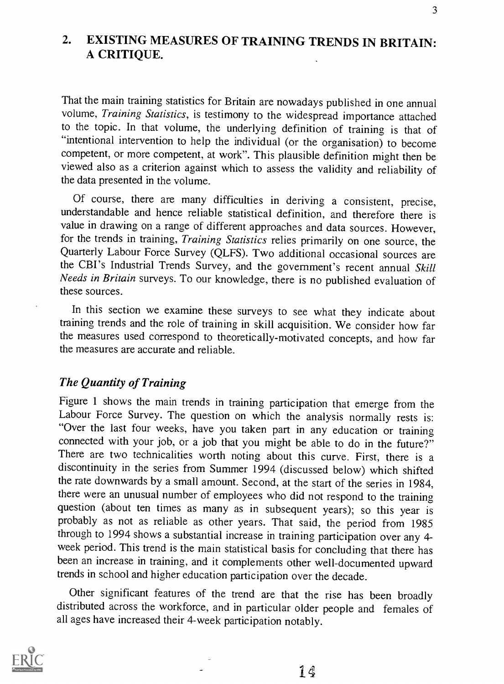## 2. EXISTING MEASURES OF TRAINING TRENDS IN BRITAIN: A CRITIQUE.

That the main training statistics for Britain are nowadays published in one annual volume, Training Statistics, is testimony to the widespread importance attached to the topic. In that volume, the underlying definition of training is that of "intentional intervention to help the individual (or the organisation) to become competent, or more competent, at work". This plausible definition might then be viewed also as a criterion against which to assess the validity and reliability of the data presented in the volume.

Of course, there are many difficulties in deriving a consistent, precise, understandable and hence reliable statistical definition, and therefore there is value in drawing on a range of different approaches and data sources. However, for the trends in training, Training Statistics relies primarily on one source, the Quarterly Labour Force Survey (QLFS). Two additional occasional sources are the CBI's Industrial Trends Survey, and the government's recent annual Skill Needs in Britain surveys. To our knowledge, there is no published evaluation of these sources.

In this section we examine these surveys to see what they indicate about training trends and the role of training in skill acquisition. We consider how far the measures used correspond to theoretically-motivated concepts, and how far the measures are accurate and reliable.

#### The Quantity of Training

Figure 1 shows the main trends in training participation that emerge from the Labour Force Survey. The question on which the analysis normally rests is: "Over the last four weeks, have you taken part in any education or training connected with your job, or a job that you might be able to do in the future?" There are two technicalities worth noting about this curve. First, there is a discontinuity in the series from Summer 1994 (discussed below) which shifted the rate downwards by a small amount. Second, at the start of the series in 1984, there were an unusual number of employees who did not respond to the training question (about ten times as many as in subsequent years); so this year is probably as not as reliable as other years. That said, the period from 1985 through to 1994 shows a substantial increase in training participation over any 4 week period. This trend is the main statistical basis for concluding that there has been an increase in training, and it complements other well-documented upward trends in school and higher education participation over the decade.

Other significant features of the trend are that the rise has been broadly distributed across the workforce, and in particular older people and females of all ages have increased their 4-week participation notably.

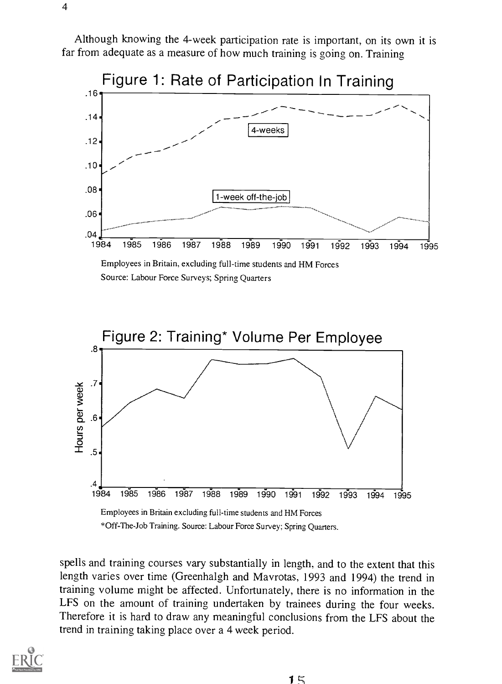Although knowing the 4-week participation rate is important, on its own it is far from adequate as a measure of how much training is going on. Training



spells and training courses vary substantially in length, and to the extent that this length varies over time (Greenhalgh and Mavrotas, 1993 and 1994) the trend in training volume might be affected. Unfortunately, there is no information in the LFS on the amount of training undertaken by trainees during the four weeks. Therefore it is hard to draw any meaningful conclusions from the LFS about the trend in training taking place over a 4 week period.

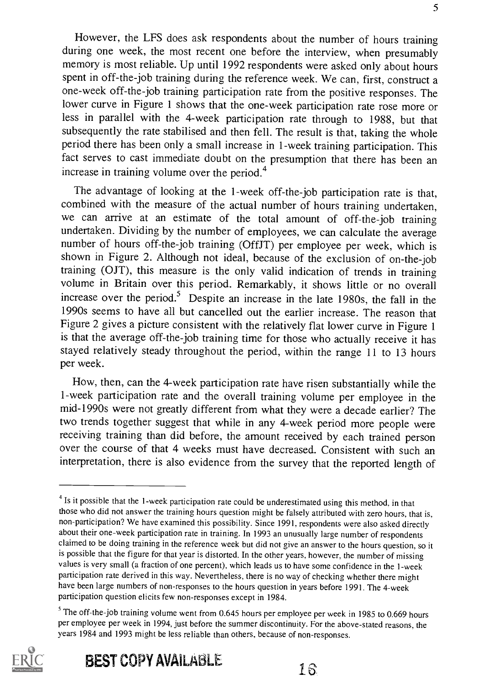However, the LFS does ask respondents about the number of hours training during one week, the most recent one before the interview, when presumably memory is most reliable. Up until 1992 respondents were asked only about hours spent in off-the-job training during the reference week. We can, first, construct a one-week off-the-job training participation rate from the positive responses. The lower curve in Figure 1 shows that the one-week participation rate rose more or less in parallel with the 4-week participation rate through to 1988, but that subsequently the rate stabilised and then fell. The result is that, taking the whole period there has been only a small increase in 1-week training participation. This fact serves to cast immediate doubt on the presumption that there has been an increase in training volume over the period.<sup>4</sup>

The advantage of looking at the 1-week off-the-job participation rate is that, combined with the measure of the actual number of hours training undertaken, we can arrive at an estimate of the total amount of off-the-job training undertaken. Dividing by the number of employees, we can calculate the average number of hours off-the-job training (OffJT) per employee per week, which is shown in Figure 2. Although not ideal, because of the exclusion of on-the-job training (OJT), this measure is the only valid indication of trends in training volume in Britain over this period. Remarkably, it shows little or no overall increase over the period.<sup>5</sup> Despite an increase in the late 1980s, the fall in the 1990s seems to have all but cancelled out the earlier increase. The reason that Figure 2 gives a picture consistent with the relatively flat lower curve in Figure 1 is that the average off-the-job training time for those who actually receive it has stayed relatively steady throughout the period, within the range 11 to 13 hours per week.

How, then, can the 4-week participation rate have risen substantially while the 1-week participation rate and the overall training volume per employee in the mid-1990s were not greatly different from what they were a decade earlier? The two trends together suggest that while in any 4-week period more people were receiving training than did before, the amount received by each trained person over the course of that 4 weeks must have decreased. Consistent with such an interpretation, there is also evidence from the survey that the reported length of

 $<sup>5</sup>$  The off-the-job training volume went from 0.645 hours per employee per week in 1985 to 0.669 hours</sup> per employee per week in 1994, just before the summer discontinuity. For the above-stated reasons, the years 1984 and 1993 might be less reliable than others, because of non-responses.



 $<sup>4</sup>$  Is it possible that the 1-week participation rate could be underestimated using this method, in that</sup> those who did not answer the training hours question might be falsely attributed with zero hours, that is, non-participation? We have examined this possibility. Since 1991, respondents were also asked directly about their one-week participation rate in training. In 1993 an unusually large number of respondents claimed to be doing training in the reference week but did not give an answer to the hours question, so it is possible that the figure for that year is distorted. In the other years, however, the number of missing values is very small (a fraction of one percent). which leads us to have some confidence in the 1-week participation rate derived in this way. Nevertheless, there is no way of checking whether there might have been large numbers of non-responses to the hours question in years before 1991. The 4-week participation question elicits few non-responses except in 1984.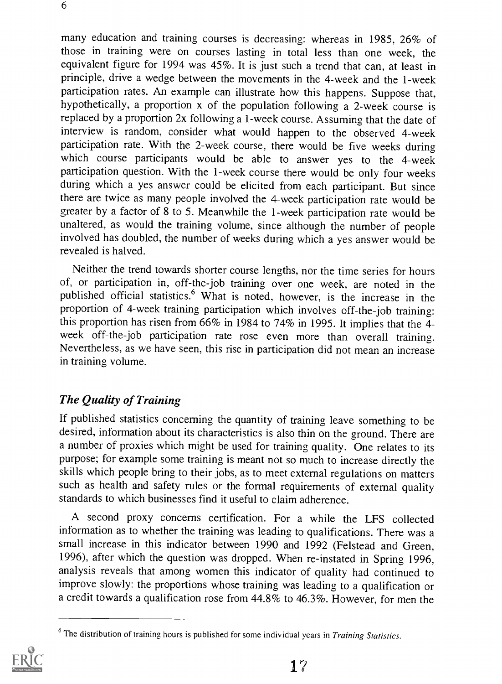6

many education and training courses is decreasing: whereas in 1985, 26% of those in training were on courses lasting in total less than one week, the equivalent figure for 1994 was 45%. It is just such a trend that can, at least in principle, drive a wedge between the movements in the 4-week and the 1-week participation rates. An example can illustrate how this happens. Suppose that, hypothetically, a proportion x of the population following a 2-week course is replaced by a proportion 2x following a 1-week course. Assuming that the date of interview is random, consider what would happen to the observed 4-week participation rate. With the 2-week course, there would be five weeks during which course participants would be able to answer yes to the 4-week participation question. With the 1-week course there would be only four weeks during which a yes answer could be elicited from each participant. But since there are twice as many people involved the 4-week participation rate would be greater by a factor of 8 to 5. Meanwhile the 1 -week participation rate would be unaltered, as would the training volume, since although the number of people involved has doubled, the number of weeks during which a yes answer would be revealed is halved.

Neither the trend towards shorter course lengths, nor the time series for hours of, or participation in, off-the-job training over one week, are noted in the published official statistics.<sup>6</sup> What is noted, however, is the increase in the proportion of 4-week training participation which involves off-the-job training: this proportion has risen from 66% in 1984 to 74% in 1995. It implies that the 4 week off-the-job participation rate rose even more than overall training. Nevertheless, as we have seen, this rise in participation did not mean an increase in training volume.

## The Quality of Training

If published statistics concerning the quantity of training leave something to be desired, information about its characteristics is also thin on the ground. There are a number of proxies which might be used for training quality. One relates to its purpose; for example some training is meant not so much to increase directly the skills which people bring to their jobs, as to meet external regulations on matters such as health and safety rules or the formal requirements of external quality standards to which businesses find it useful to claim adherence.

A second proxy concerns certification. For a while the LFS collected information as to whether the training was leading to qualifications. There was a small increase in this indicator between 1990 and 1992 (Felstead and Green, 1996), after which the question was dropped. When re-instated in Spring 1996, analysis reveals that among women this indicator of quality had continued to improve slowly: the proportions whose training was leading to a qualification or a credit towards a qualification rose from 44.8% to 46.3%. However, for men the

 $6$  The distribution of training hours is published for some individual years in Training Statistics.

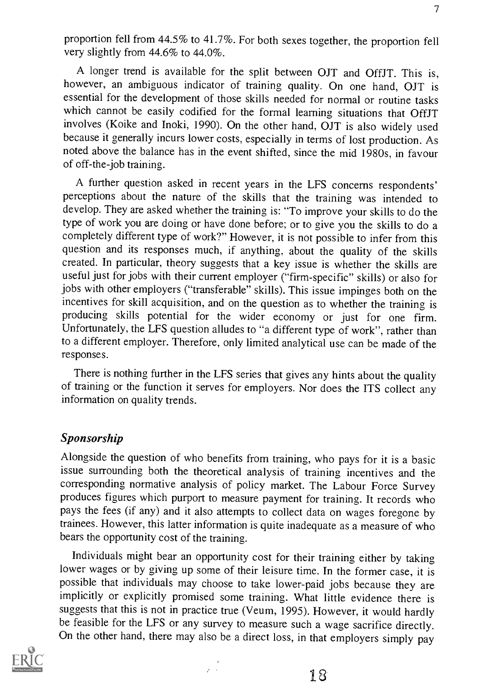proportion fell from 44.5% to 41.7%. For both sexes together, the proportion fell very slightly from 44.6% to 44.0%.

A longer trend is available for the split between OJT and OffJT. This is, however, an ambiguous indicator of training quality. On one hand, OJT is essential for the development of those skills needed for normal or routine tasks which cannot be easily codified for the formal learning situations that OffJT involves (Koike and Inoki, 1990). On the other hand, OJT is also widely used because it generally incurs lower costs, especially in terms of lost production. As noted above the balance has in the event shifted, since the mid 1980s, in favour of off-the-job training.

A further question asked in recent years in the LFS concerns respondents' perceptions about the nature of the skills that the training was intended to develop. They are asked whether the training is: "To improve your skills to do the type of work you are doing or have done before; or to give you the skills to do a completely different type of work?" However, it is not possible to infer from this question and its responses much, if anything, about the quality of the skills created. In particular, theory suggests that a key issue is whether the skills are useful just for jobs with their current employer ("firm-specific" skills) or also for jobs with other employers ("transferable" skills). This issue impinges both on the incentives for skill acquisition, and on the question as to whether the training is producing skills potential for the wider economy or just for one firm. Unfortunately, the LFS question alludes to "a different type of work", rather than to a different employer. Therefore, only limited analytical use can be made of the responses.

There is nothing further in the LFS series that gives any hints about the quality of training or the function it serves for employers. Nor does the ITS collect any information on quality trends.

#### Sponsorship

Alongside the question of who benefits from training, who pays for it is a basic issue surrounding both the theoretical analysis of training incentives and the corresponding normative analysis of policy market. The Labour Force Survey produces figures which purport to measure payment for training. It records who pays the fees (if any) and it also attempts to collect data on wages foregone by trainees. However, this latter information is quite inadequate as a measure of who bears the opportunity cost of the training.

Individuals might bear an opportunity cost for their training either by taking lower wages or by giving up some of their leisure time. In the former case, it is possible that individuals may choose to take lower-paid jobs because they are implicitly or explicitly promised some training. What little evidence there is suggests that this is not in practice true (Veum, 1995). However, it would hardly be feasible for the LFS or any survey to measure such a wage sacrifice directly. On the other hand, there may also be a direct loss, in that employers simply pay

 $\alpha = 1$ 

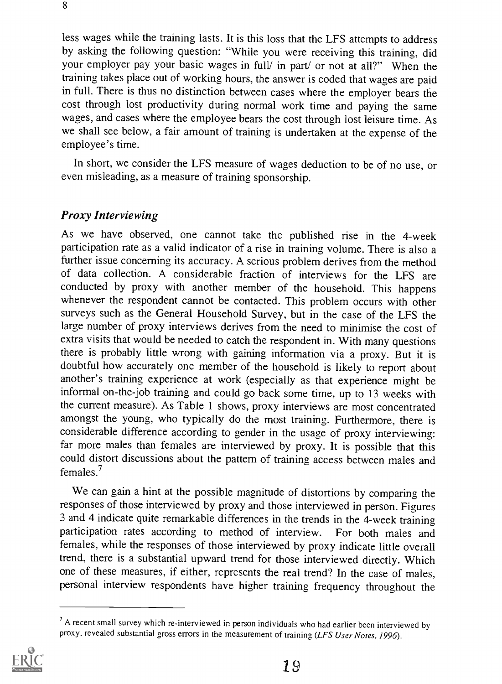less wages while the training lasts. It is this loss that the LFS attempts to address by asking the following question: "While you were receiving this training, did your employer pay your basic wages in full/ in part/ or not at all?" When the training takes place out of working hours, the answer is coded that wages are paid in full. There is thus no distinction between cases where the employer bears the cost through lost productivity during normal work time and paying the same wages, and cases where the employee bears the cost through lost leisure time. As we shall see below, a fair amount of training is undertaken at the expense of the employee's time.

In short, we consider the LFS measure of wages deduction to be of no use, or even misleading, as a measure of training sponsorship.

#### Proxy Interviewing

As we have observed, one cannot take the published rise in the 4-week participation rate as a valid indicator of a rise in training volume. There is also a further issue concerning its accuracy. A serious problem derives from the method of data collection. A considerable fraction of interviews for the LFS are conducted by proxy with another member of the household. This happens whenever the respondent cannot be contacted. This problem occurs with other surveys such as the General Household Survey, but in the case of the LFS the large number of proxy interviews derives from the need to minimise the cost of extra visits that would be needed to catch the respondent in. With many questions there is probably little wrong with gaining information via a proxy. But it is doubtful how accurately one member of the household is likely to report about another's training experience at work (especially as that experience might be informal on-the-job training and could go back some time, up to 13 weeks with the current measure). As Table 1 shows, proxy interviews are most concentrated amongst the young, who typically do the most training. Furthermore, there is considerable difference according to gender in the usage of proxy interviewing: far more males than females are interviewed by proxy. It is possible that this could distort discussions about the pattern of training access between males and females.?

We can gain a hint at the possible magnitude of distortions by comparing the responses of those interviewed by proxy and those interviewed in person. Figures 3 and 4 indicate quite remarkable differences in the trends in the 4-week training participation rates according to method of interview. For both males and females, while the responses of those interviewed by proxy indicate little overall trend, there is a substantial upward trend for those interviewed directly. Which one of these measures, if either, represents the real trend? In the case of males, personal interview respondents have higher training frequency throughout the

 $<sup>7</sup>$  A recent small survey which re-interviewed in person individuals who had earlier been interviewed by</sup> proxy, revealed substantial gross errors in the measurement of training (LFS User Notes, 1996).

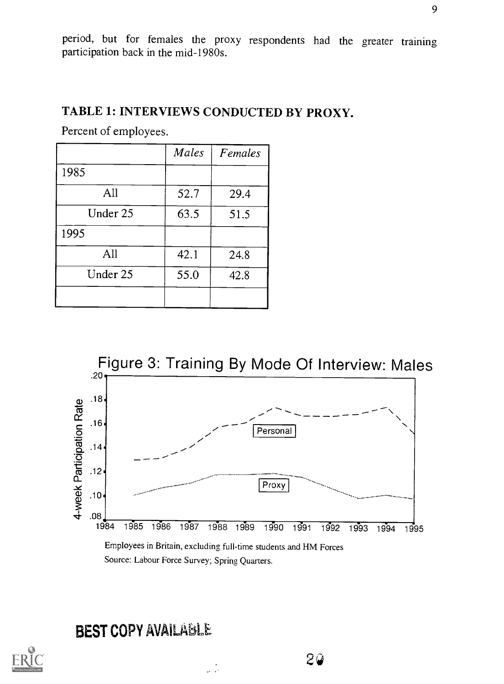period, but for females the proxy respondents had the greater training participation back in the mid-1980s.

## TABLE 1: INTERVIEWS CONDUCTED BY PROXY.

Percent of employees.

|          | Males | Females |
|----------|-------|---------|
| 1985     |       |         |
| All      | 52.7  | 29.4    |
| Under 25 | 63.5  | 51.5    |
| 1995     |       |         |
| All      | 42.1  | 24.8    |
| Under 25 | 55.0  | 42.8    |
|          |       |         |



20

Source: Labour Force Survey; Spring Quarters.

الوالي

## BEST COPY AVAILABLE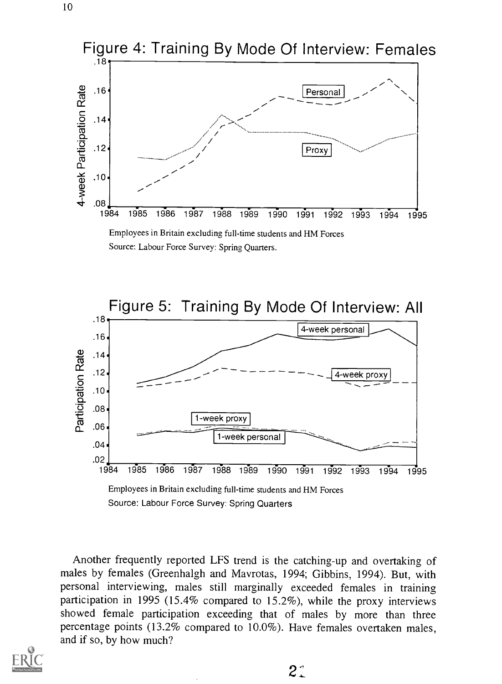

Source: Labour Force Survey: Spring Quarters.



Another frequently reported LFS trend is the catching-up and overtaking of males by females (Greenhalgh and Mavrotas, 1994; Gibbins, 1994). But, with personal interviewing, males still marginally exceeded females in training participation in 1995 (15.4% compared to 15.2%), while the proxy interviews showed female participation exceeding that of males by more than three percentage points (13.2% compared to 10.0%). Have females overtaken males, and if so, by how much?

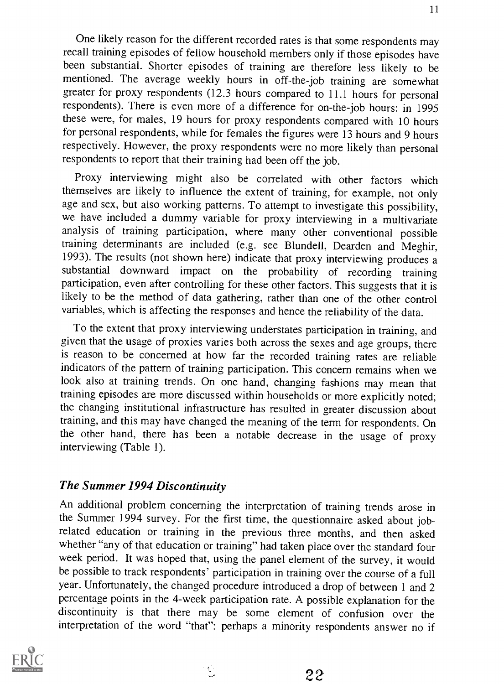One likely reason for the different recorded rates is that some respondents may recall training episodes of fellow household members only if those episodes have been substantial. Shorter episodes of training are therefore less likely to be mentioned. The average weekly hours in off-the-job training are somewhat greater for proxy respondents (12.3 hours compared to 11.1 hours for personal respondents). There is even more of a difference for on-the-job hours: in 1995 these were, for males, 19 hours for proxy respondents compared with 10 hours for personal respondents, while for females the figures were 13 hours and 9 hours respectively. However, the proxy respondents were no more likely than personal respondents to report that their training had been off the job.

Proxy interviewing might also be correlated with other factors which themselves are likely to influence the extent of training, for example, not only age and sex, but also working patterns. To attempt to investigate this possibility, we have included a dummy variable for proxy interviewing in a multivariate analysis of training participation, where many other conventional possible training determinants are included (e.g. see Blundell, Dearden and Meghir, 1993). The results (not shown here) indicate that proxy interviewing produces a substantial downward impact on the probability of recording training participation, even after controlling for these other factors. This suggests that it is likely to be the method of data gathering, rather than one of the other control variables, which is affecting the responses and hence the reliability of the data.

To the extent that proxy interviewing understates participation in training, and given that the usage of proxies varies both across the sexes and age groups, there is reason to be concerned at how far the recorded training rates are reliable indicators of the pattern of training participation. This concern remains when we look also at training trends. On one hand, changing fashions may mean that training episodes are more discussed within households or more explicitly noted; the changing institutional infrastructure has resulted in greater discussion about training, and this may have changed the meaning of the term for respondents. On the other hand, there has been a notable decrease in the usage of proxy interviewing (Table 1).

## The Summer 1994 Discontinuity

An additional problem concerning the interpretation of training trends arose in the Summer 1994 survey. For the first time, the questionnaire asked about jobrelated education or training in the previous three months, and then asked whether "any of that education or training" had taken place over the standard four week period. It was hoped that, using the panel element of the survey, it would be possible to track respondents' participation in training over the course of a full year. Unfortunately, the changed procedure introduced a drop of between 1 and 2 percentage points in the 4-week participation rate. A possible explanation for the discontinuity is that there may be some element of confusion over the interpretation of the word "that": perhaps a minority respondents answer no if

 $\mathcal{L}_1$ 

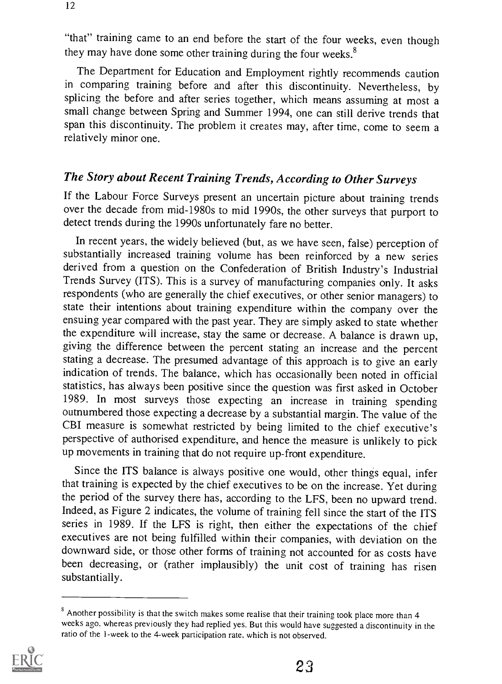"that" training came to an end before the start of the four weeks, even though they may have done some other training during the four weeks.<sup>8</sup>

The Department for Education and Employment rightly recommends caution in comparing training before and after this discontinuity. Nevertheless, by splicing the before and after series together, which means assuming at most a small change between Spring and Summer 1994, one can still derive trends that span this discontinuity. The problem it creates may, after time, come to seem a relatively minor one.

## The Story about Recent Training Trends, According to Other Surveys

If the Labour Force Surveys present an uncertain picture about training trends over the decade from mid-1980s to mid 1990s, the other surveys that purport to detect trends during the 1990s unfortunately fare no better.

In recent years, the widely believed (but, as we have seen, false) perception of substantially increased training volume has been reinforced by a new series derived from a question on the Confederation of British Industry's Industrial Trends Survey (ITS). This is a survey of manufacturing companies only. It asks respondents (who are generally the chief executives, or other senior managers) to state their intentions about training expenditure within the company over the ensuing year compared with the past year. They are simply asked to state whether the expenditure will increase, stay the same or decrease. A balance is drawn up, giving the difference between the percent stating an increase and the percent stating a decrease. The presumed advantage of this approach is to give an early indication of trends. The balance, which has occasionally been noted in official statistics, has always been positive since the question was first asked in October 1989. In most surveys those expecting an increase in training spending outnumbered those expecting a decrease by a substantial margin. The value of the CBI measure is somewhat restricted by being limited to the chief executive's perspective of authorised expenditure, and hence the measure is unlikely to pick up movements in training that do not require up-front expenditure.

Since the ITS balance is always positive one would, other things equal, infer that training is expected by the chief executives to be on the increase. Yet during the period of the survey there has, according to the LFS, been no upward trend. Indeed, as Figure 2 indicates, the volume of training fell since the start of the ITS series in 1989. If the LFS is right, then either the expectations of the chief executives are not being fulfilled within their companies, with deviation on the downward side, or those other forms of training not accounted for as costs have been decreasing, or (rather implausibly) the unit cost of training has risen substantially.

 $\textdegree$  Another possibility is that the switch makes some realise that their training took place more than 4 weeks ago, whereas previously they had replied yes. But this would have suggested a discontinuity in the ratio of the I-week to the 4-week participation rate, which is not observed.

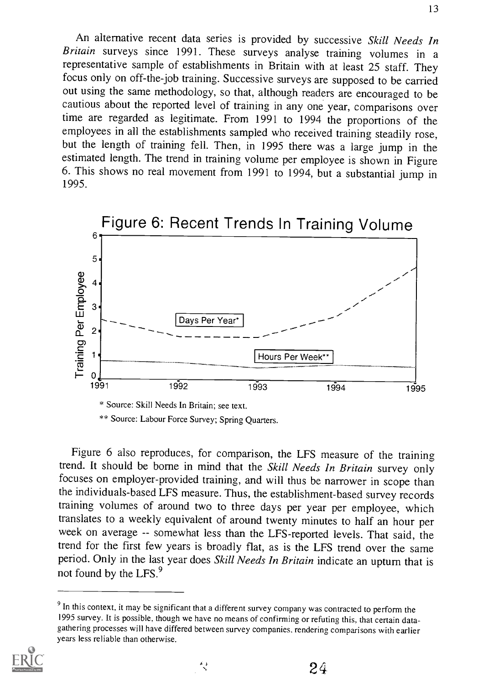An alternative recent data series is provided by successive Skill Needs In Britain surveys since 1991. These surveys analyse training volumes in a representative sample of establishments in Britain with at least 25 staff. They focus only on off-the-job training. Successive surveys are supposed to be carried out using the same methodology, so that, although readers are encouraged to be cautious about the reported level of training in any one year, comparisons over time are regarded as legitimate. From 1991 to 1994 the proportions of the employees in all the establishments sampled who received training steadily rose, but the length of training fell. Then, in 1995 there was a large jump in the estimated length. The trend in training volume per employee is shown in Figure 6. This shows no real movement from 1991 to 1994, but a substantial jump in 1995.



\*\* Source: Labour Force Survey; Spring Quarters.

Figure 6 also reproduces, for comparison, the LFS measure of the training trend. It should be borne in mind that the Skill Needs In Britain survey only focuses on employer-provided training, and will thus be narrower in scope than the individuals-based LFS measure. Thus, the establishment-based survey records training volumes of around two to three days per year per employee, which translates to a weekly equivalent of around twenty minutes to half an hour per week on average -- somewhat less than the LFS-reported levels. That said, the trend for the first few years is broadly flat, as is the LFS trend over the same period. Only in the last year does Skill Needs In Britain indicate an upturn that is not found by the LFS.<sup>9</sup>

د ۸<br>پ



 $9$  In this context, it may be significant that a different survey company was contracted to perform the 1995 survey. It is possible, though we have no means of confirming or refuting this, that certain datagathering processes will have differed between survey companies. rendering comparisons with earlier years less reliable than otherwise.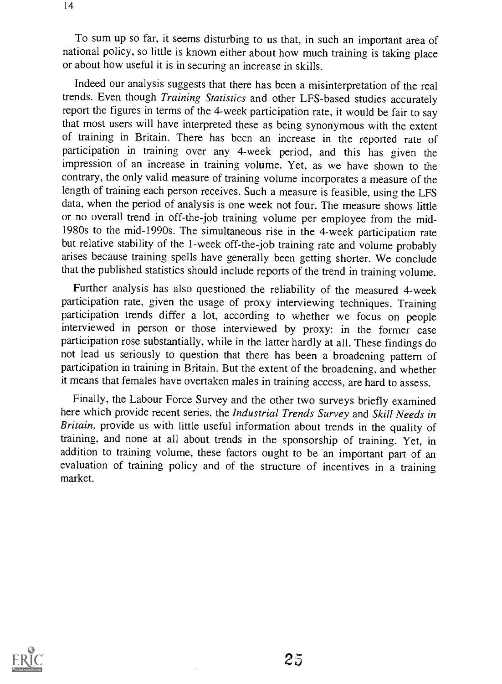To sum up so far, it seems disturbing to us that, in such an important area of national policy, so little is known either about how much training is taking place or about how useful it is in securing an increase in skills.

Indeed our analysis suggests that there has been a misinterpretation of the real trends. Even though Training Statistics and other LFS-based studies accurately report the figures in terms of the 4-week participation rate, it would be fair to say that most users will have interpreted these as being synonymous with the extent of training in Britain. There has been an increase in the reported rate of participation in training over any 4-week period, and this has given the impression of an increase in training volume. Yet, as we have shown to the contrary, the only valid measure of training volume incorporates a measure of the length of training each person receives. Such a measure is feasible, using the LFS data, when the period of analysis is one week not four. The measure shows little or no overall trend in off-the-job training volume per employee from the mid-1980s to the mid-1990s. The simultaneous rise in the 4-week participation rate but relative stability of the 1-week off-the-job training rate and volume probably arises because training spells have generally been getting shorter. We conclude that the published statistics should include reports of the trend in training volume.

Further analysis has also questioned the reliability of the measured 4-week participation rate, given the usage of proxy interviewing techniques. Training participation trends differ a lot, according to whether we focus on people interviewed in person or those interviewed by proxy: in the former case participation rose substantially, while in the latter hardly at all. These findings do not lead us seriously to question that there has been a broadening pattern of participation in training in Britain. But the extent of the broadening, and whether it means that females have overtaken males in training access, are hard to assess.

Finally, the Labour Force Survey and the other two surveys briefly examined here which provide recent series, the Industrial Trends Survey and Skill Needs in Britain, provide us with little useful information about trends in the quality of training, and none at all about trends in the sponsorship of training. Yet, in addition to training volume, these factors ought to be an important part of an evaluation of training policy and of the structure of incentives in a training market.

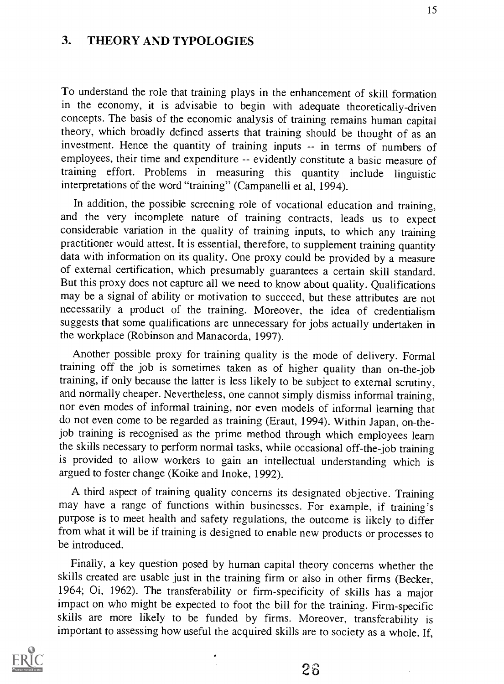## 3. THEORY AND TYPOLOGIES

To understand the role that training plays in the enhancement of skill formation in the economy, it is advisable to begin with adequate theoretically-driven concepts. The basis of the economic analysis of training remains human capital theory, which broadly defined asserts that training should be thought of as an investment. Hence the quantity of training inputs -- in terms of numbers of employees, their time and expenditure -- evidently constitute a basic measure of training effort. Problems in measuring this quantity include linguistic interpretations of the word "training" (Campanelli et al, 1994).

In addition, the possible screening role of vocational education and training, and the very incomplete nature of training contracts, leads us to expect considerable variation in the quality of training inputs, to which any training practitioner would attest. It is essential, therefore, to supplement training quantity data with information on its quality. One proxy could be provided by a measure of external certification, which presumably guarantees a certain skill standard. But this proxy does not capture all we need to know about quality. Qualifications may be a signal of ability or motivation to succeed, but these attributes are not necessarily a product of the training. Moreover, the idea of credentialism suggests that some qualifications are unnecessary for jobs actually undertaken in the workplace (Robinson and Manacorda, 1997).

Another possible proxy for training quality is the mode of delivery. Formal training off the job is sometimes taken as of higher quality than on-the-job training, if only because the latter is less likely to be subject to external scrutiny, and normally cheaper. Nevertheless, one cannot simply dismiss informal training, nor even modes of informal training, nor even models of informal learning that do not even come to be regarded as training (Eraut, 1994). Within Japan, on-thejob training is recognised as the prime method through which employees learn the skills necessary to perform normal tasks, while occasional off-the-job training is provided to allow workers to gain an intellectual understanding which is argued to foster change (Koike and Inoke, 1992).

A third aspect of training quality concerns its designated objective. Training may have a range of functions within businesses. For example, if training's purpose is to meet health and safety regulations, the outcome is likely to differ from what it will be if training is designed to enable new products or processes to be introduced.

Finally, a key question posed by human capital theory concerns whether the skills created are usable just in the training firm or also in other firms (Becker, 1964; 0i, 1962). The transferability or firm-specificity of skills has a major impact on who might be expected to foot the bill for the training. Firm-specific skills are more likely to be funded by firms. Moreover, transferability is important to assessing how useful the acquired skills are to society as a whole. If,



 $2\hat{b}$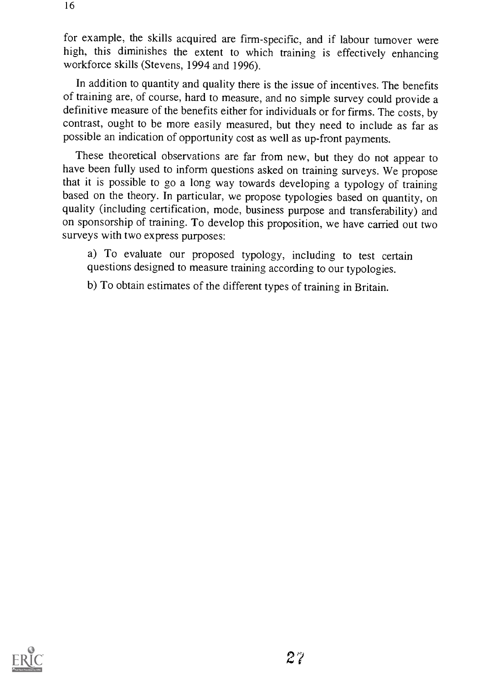for example, the skills acquired are firm-specific, and if labour turnover were high, this diminishes the extent to which training is effectively enhancing workforce skills (Stevens, 1994 and 1996).

In addition to quantity and quality there is the issue of incentives. The benefits of training are, of course, hard to measure, and no simple survey could provide a definitive measure of the benefits either for individuals or for firms. The costs, by contrast, ought to be more easily measured, but they need to include as far as possible an indication of opportunity cost as well as up-front payments.

These theoretical observations are far from new, but they do not appear to have been fully used to inform questions asked on training surveys. We propose that it is possible to go a long way towards developing a typology of training based on the theory. In particular, we propose typologies based on quantity, on quality (including certification, mode, business purpose and transferability) and on sponsorship of training. To develop this proposition, we have carried out two surveys with two express purposes:

a) To evaluate our proposed typology, including to test certain questions designed to measure training according to our typologies.

b) To obtain estimates of the different types of training in Britain.

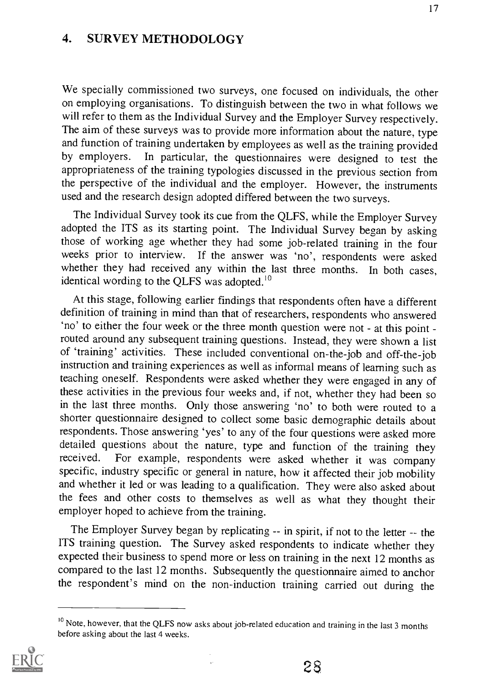#### 4. SURVEY METHODOLOGY

We specially commissioned two surveys, one focused on individuals, the other on employing organisations. To distinguish between the two in what follows we will refer to them as the Individual Survey and the Employer Survey respectively. The aim of these surveys was to provide more information about the nature, type and function of training undertaken by employees as well as the training provided<br>by employers. In particular, the questionnaires were designed to test the In particular, the questionnaires were designed to test the appropriateness of the training typologies discussed in the previous section from the perspective of the individual and the employer. However, the instruments used and the research design adopted differed between the two surveys.

The Individual Survey took its cue from the QLFS, while the Employer Survey adopted the ITS as its starting point. The Individual Survey began by asking those of working age whether they had some job-related training in the four weeks prior to interview. If the answer was 'no', respondents were asked whether they had received any within the last three months. In both cases, identical wording to the QLFS was adopted.<sup>10</sup>

At this stage, following earlier findings that respondents often have a different definition of training in mind than that of researchers, respondents who answered 'no' to either the four week or the three month question were not - at this point routed around any subsequent training questions. Instead, they were shown a list of 'training' activities. These included conventional on-the-job and off-the-job instruction and training experiences as well as informal means of learning such as teaching oneself. Respondents were asked whether they were engaged in any of these activities in the previous four weeks and, if not, whether they had been so in the last three months. Only those answering 'no' to both were routed to a shorter questionnaire designed to collect some basic demographic details about respondents. Those answering 'yes' to any of the four questions were asked more detailed questions about the nature, type and function of the training they received. For example, respondents were asked whether it was company For example, respondents were asked whether it was company specific, industry specific or general in nature, how it affected their job mobility and whether it led or was leading to a qualification. They were also asked about the fees and other costs to themselves as well as what they thought their employer hoped to achieve from the training.

The Employer Survey began by replicating -- in spirit, if not to the letter -- the ITS training question. The Survey asked respondents to indicate whether they expected their business to spend more or less on training in the next 12 months as compared to the last 12 months. Subsequently the questionnaire aimed to anchor the respondent's mind on the non-induction training carried out during the

 $\bar{\psi}$ 



<sup>&</sup>lt;sup>10</sup> Note, however, that the QLFS now asks about job-related education and training in the last 3 months before asking about the last 4 weeks.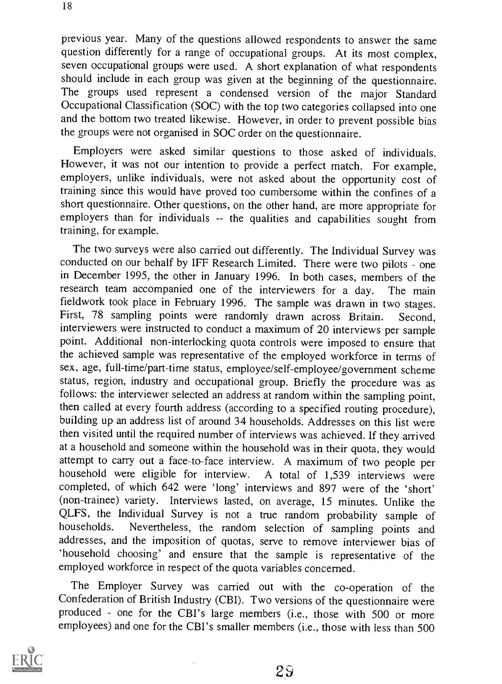previous year. Many of the questions allowed respondents to answer the same question differently for a range of occupational groups. At its most complex, seven occupational groups were used. A short explanation of what respondents should include in each group was given at the beginning of the questionnaire. The groups used represent a condensed version of the major Standard Occupational Classification (SOC) with the top two categories collapsed into one and the bottom two treated likewise. However, in order to prevent possible bias the groups were not organised in SOC order on the questionnaire.

Employers were asked similar questions to those asked of individuals. However, it was not our intention to provide a perfect match. For example, employers, unlike individuals, were not asked about the opportunity cost of training since this would have proved too cumbersome within the confines of a short questionnaire. Other questions, on the other hand, are more appropriate for employers than for individuals -- the qualities and capabilities sought from training, for example.

The two surveys were also carried out differently. The Individual Survey was conducted on our behalf by IFF Research Limited. There were two pilots - one in December 1995, the other in January 1996. In both cases, members of the research team accompanied one of the interviewers for a day. The main fieldwork took place in February 1996. The sample was drawn in two stages. First, 78 sampling points were randomly drawn across Britain. Second, interviewers were instructed to conduct a maximum of 20 interviews per sample point. Additional non-interlocking quota controls were imposed to ensure that the achieved sample was representative of the employed workforce in terms of sex, age, full-time/part-time status, employee/self-employee/government scheme status, region, industry and occupational group. Briefly the procedure was as follows: the interviewer selected an address at random within the sampling point, then called at every fourth address (according to a specified routing procedure), building up an address list of around 34 households. Addresses on this list were then visited until the required number of interviews was achieved. If they arrived at a household and someone within the household was in their quota, they would attempt to carry out a face-to-face interview. A maximum of two people per household were eligible for interview. A total of 1.539 interviews were A total of 1,539 interviews were completed, of which 642 were 'long' interviews and 897 were of the 'short' (non-trainee) variety. Interviews lasted, on average, 15 minutes. Unlike the QLFS, the Individual Survey is not a true random probability sample of households. Nevertheless, the random selection of sampling points and Nevertheless, the random selection of sampling points and addresses, and the imposition of quotas, serve to remove interviewer bias of `household choosing' and ensure that the sample is representative of the employed workforce in respect of the quota variables concerned.

The Employer Survey was carried out with the co-operation of the Confederation of British Industry (CBI). Two versions of the questionnaire were produced - one for the CBI's large members (i.e., those with 500 or more employees) and one for the CBI's smaller members (i.e., those with less than 500

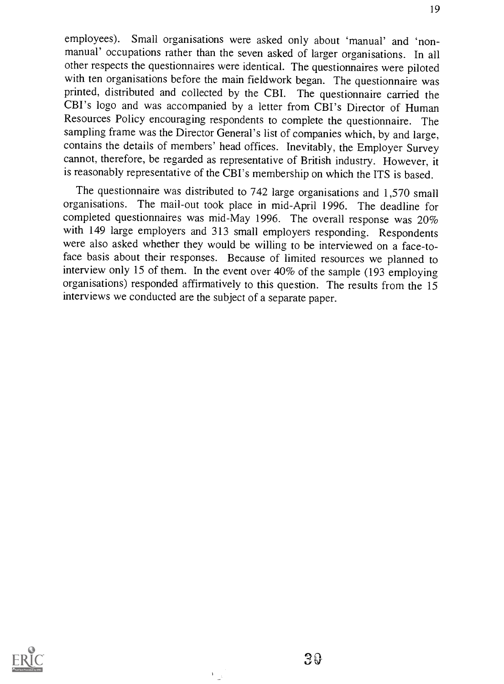employees). Small organisations were asked only about 'manual' and 'nonmanual' occupations rather than the seven asked of larger organisations. In all other respects the questionnaires were identical. The questionnaires were piloted with ten organisations before the main fieldwork began. The questionnaire was printed, distributed and collected by the CBI. The questionnaire carried the CBI's logo and was accompanied by a letter from CBI's Director of Human Resources Policy encouraging respondents to complete the questionnaire. The sampling frame was the Director General's list of companies which, by and large, contains the details of members' head offices. Inevitably, the Employer Survey cannot, therefore, be regarded as representative of British industry. However, it is reasonably representative of the CBI's membership on which the ITS is based.

The questionnaire was distributed to 742 large organisations and 1,570 small organisations. The mail-out took place in mid-April 1996. The deadline for completed questionnaires was mid-May 1996. The overall response was 20% with 149 large employers and 313 small employers responding. Respondents were also asked whether they would be willing to be interviewed on a face-toface basis about their responses. Because of limited resources we planned to interview only 15 of them. In the event over 40% of the sample (193 employing organisations) responded affirmatively to this question. The results from the 15 interviews we conducted are the subject of a separate paper.



 $\boldsymbol{V}$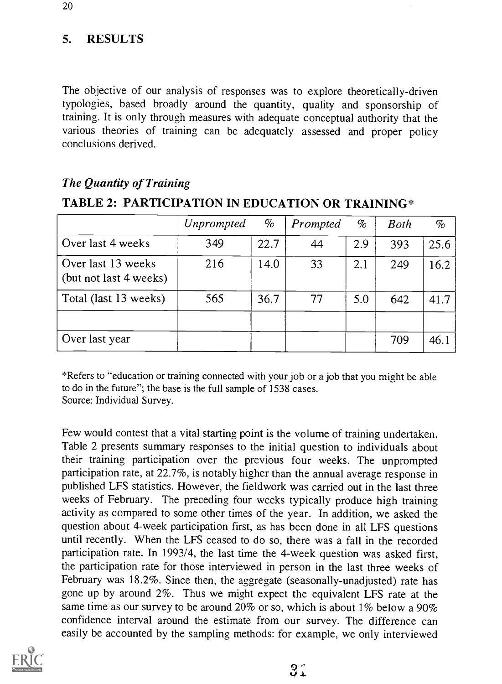## 5. RESULTS

The objective of our analysis of responses was to explore theoretically-driven typologies, based broadly around the quantity, quality and sponsorship of training. It is only through measures with adequate conceptual authority that the various theories of training can be adequately assessed and proper policy conclusions derived.

TABLE 2: PARTICIPATION IN EDUCATION OR TRAINING\*

|                                              | Unprompted | $\%$ | Prompted | $\%$ | <b>Both</b> | $\%$ |
|----------------------------------------------|------------|------|----------|------|-------------|------|
| Over last 4 weeks                            | 349        | 22.7 | 44       | 2.9  | 393         | 25.6 |
| Over last 13 weeks<br>(but not last 4 weeks) | 216        | 14.0 | 33       | 2.1  | 249         | 16.2 |
| Total (last 13 weeks)                        | 565        | 36.7 | 77       | 5.0  | 642         | 41.7 |
|                                              |            |      |          |      |             |      |
| Over last year                               |            |      |          |      | 709         | 46.1 |

#### The Quantity of Training

# \*Refers to "education or training connected with your job or a job that you might be able to do in the future"; the base is the full sample of 1538 cases.

Source: Individual Survey.

Few would contest that a vital starting point is the volume of training undertaken. Table 2 presents summary responses to the initial question to individuals about their training participation over the previous four weeks. The unprompted participation rate, at 22.7%, is notably higher than the annual average response in published LFS statistics. However, the fieldwork was carried out in the last three weeks of February. The preceding four weeks typically produce high training activity as compared to some other times of the year. In addition, we asked the question about 4-week participation first, as has been done in all LFS questions until recently. When the LFS ceased to do so, there was a fall in the recorded participation rate. In 1993/4, the last time the 4-week question was asked first, the participation rate for those interviewed in person in the last three weeks of February was 18.2%. Since then, the aggregate (seasonally-unadjusted) rate has gone up by around 2%. Thus we might expect the equivalent LFS rate at the same time as our survey to be around 20% or so, which is about 1% below a 90% confidence interval around the estimate from our survey. The difference can easily be accounted by the sampling methods: for example, we only interviewed

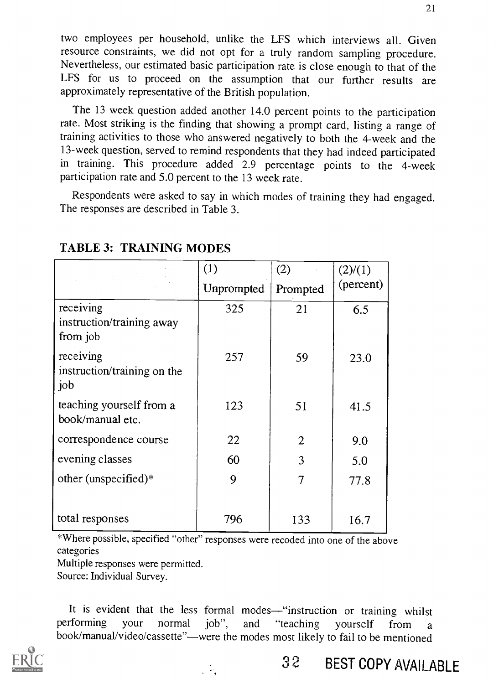two employees per household, unlike the LFS which interviews all. Given resource constraints, we did not opt for a truly random sampling procedure. Nevertheless, our estimated basic participation rate is close enough to that of the LFS for us to proceed on the assumption that our further results are approximately representative of the British population.

The 13 week question added another 14.0 percent points to the participation rate. Most striking is the finding that showing a prompt card, listing a range of training activities to those who answered negatively to both the 4-week and the 13-week question, served to remind respondents that they had indeed participated in training. This procedure added 2.9 percentage points to the 4-week participation rate and 5.0 percent to the 13 week rate.

Respondents were asked to say in which modes of training they had engaged. The responses are described in Table 3.

|                                                    | (1)        | (2)            | (2)/(1)   |
|----------------------------------------------------|------------|----------------|-----------|
|                                                    | Unprompted | Prompted       | (percent) |
| receiving<br>instruction/training away<br>from job | 325        | 21             | 6.5       |
| receiving<br>instruction/training on the<br>job    | 257        | 59             | 23.0      |
| teaching yourself from a<br>book/manual etc.       | 123        | 51             | 41.5      |
| correspondence course                              | 22         | $\overline{2}$ | 9.0       |
| evening classes                                    | 60         | 3              | 5.0       |
| other (unspecified)*                               | 9          | 7              | 77.8      |
| total responses                                    | 796        | 133            | 16.7      |

#### TABLE 3: TRAINING MODES

\*Where possible, specified "other" responses were recoded into one of the above categories

Multiple responses were permitted.

Source: Individual Survey.

It is evident that the less formal modes—"instruction or training whilst<br>performing your normal job", and "teaching yourself from a performing your normal job", and "teaching yourself from a book/manual/video/cassette"—were the modes most likely to fail to be mentioned

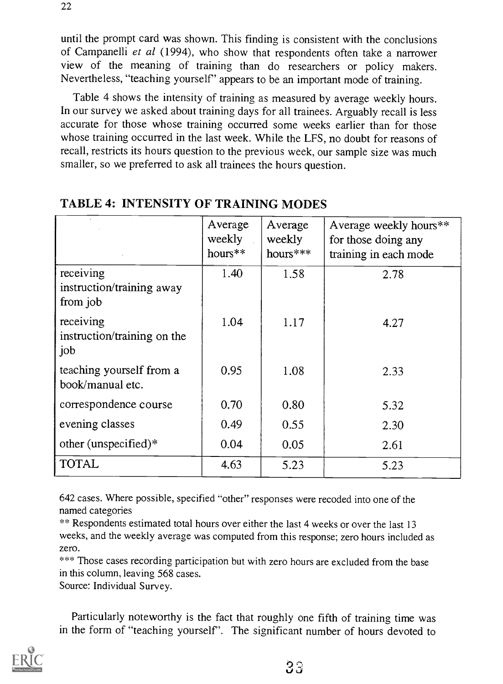until the prompt card was shown. This finding is consistent with the conclusions of Campanelli et al (1994), who show that respondents often take a narrower view of the meaning of training than do researchers or policy makers. Nevertheless, "teaching yourself' appears to be an important mode of training.

Table 4 shows the intensity of training as measured by average weekly hours. In our survey we asked about training days for all trainees. Arguably recall is less accurate for those whose training occurred some weeks earlier than for those whose training occurred in the last week. While the LFS, no doubt for reasons of recall, restricts its hours question to the previous week, our sample size was much smaller, so we preferred to ask all trainees the hours question.

|                                                    | Average<br>weekly<br>$hours**$ | Average<br>weekly<br>hours*** | Average weekly hours**<br>for those doing any<br>training in each mode |
|----------------------------------------------------|--------------------------------|-------------------------------|------------------------------------------------------------------------|
| receiving<br>instruction/training away<br>from job | 1.40                           | 1.58                          | 2.78                                                                   |
| receiving<br>instruction/training on the<br>job    | 1.04                           | 1.17                          | 4.27                                                                   |
| teaching yourself from a<br>book/manual etc.       | 0.95                           | 1.08                          | 2.33                                                                   |
| correspondence course                              | 0.70                           | 0.80                          | 5.32                                                                   |
| evening classes                                    | 0.49                           | 0.55                          | 2.30                                                                   |
| other (unspecified) $*$                            | 0.04                           | 0.05                          | 2.61                                                                   |
| <b>TOTAL</b>                                       | 4.63                           | 5.23                          | 5.23                                                                   |

#### TABLE 4: INTENSITY OF TRAINING MODES

642 cases. Where possible, specified "other" responses were recoded into one of the named categories

\*\* Respondents estimated total hours over either the last 4 weeks or over the last 13 weeks, and the weekly average was computed from this response; zero hours included as zero.

\*\*\* Those cases recording participation but with zero hours are excluded from the base in this column, leaving 568 cases.

Source: Individual Survey.

Particularly noteworthy is the fact that roughly one fifth of training time was in the form of "teaching yourself'. The significant number of hours devoted to

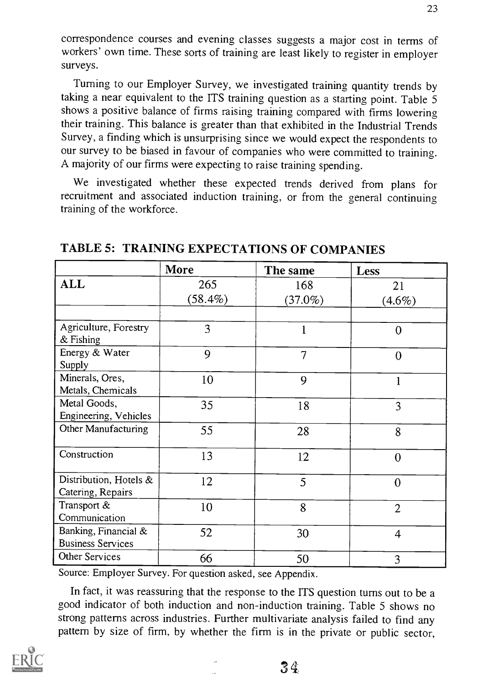correspondence courses and evening classes suggests a major cost in terms of workers' own time. These sorts of training are least likely to register in employer surveys.

Turning to our Employer Survey, we investigated training quantity trends by taking a near equivalent to the ITS training question as a starting point. Table 5 shows a positive balance of firms raising training compared with firms lowering their training. This balance is greater than that exhibited in the Industrial Trends Survey, a finding which is unsurprising since we would expect the respondents to our survey to be biased in favour of companies who were committed to training. A majority of our firms were expecting to raise training spending.

We investigated whether these expected trends derived from plans for recruitment and associated induction training, or from the general continuing training of the workforce.

|                                      | More       | The same       | <b>Less</b>    |
|--------------------------------------|------------|----------------|----------------|
| <b>ALL</b>                           | 265        | 168            | 21             |
|                                      | $(58.4\%)$ | $(37.0\%)$     | $(4.6\%)$      |
|                                      |            |                |                |
| Agriculture, Forestry<br>$&$ Fishing | 3          | 1              | $\overline{0}$ |
| Energy & Water                       | 9          |                |                |
| Supply                               |            | $\overline{7}$ | $\overline{0}$ |
| Minerals, Ores,                      | 10         | 9              |                |
| Metals, Chemicals                    |            |                |                |
| Metal Goods,                         | 35         | 18             | 3              |
| Engineering, Vehicles                |            |                |                |
| Other Manufacturing                  | 55         | 28             | 8              |
| Construction                         | 13         | 12             | $\overline{0}$ |
| Distribution, Hotels &               | 12         | 5              | $\Omega$       |
| Catering, Repairs                    |            |                |                |
| Transport &                          | 10         | 8              | $\overline{2}$ |
| Communication                        |            |                |                |
| Banking, Financial &                 | 52         | 30             | $\overline{4}$ |
| <b>Business Services</b>             |            |                |                |
| Other Services                       | 66         | 50             | 3              |

TABLE 5: TRAINING EXPECTATIONS OF COMPANIES

Source: Employer Survey. For question asked, see Appendix.

In fact, it was reassuring that the response to the ITS question turns out to be a good indicator of both induction and non-induction training. Table 5 shows no strong patterns across industries. Further multivariate analysis failed to find any pattern by size of firm, by whether the firm is in the private or public sector,

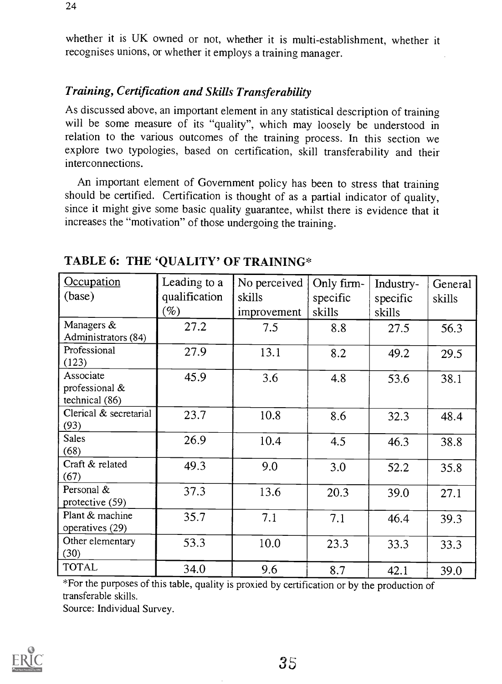whether it is UK owned or not, whether it is multi-establishment, whether it recognises unions, or whether it employs a training manager.

### Training, Certification and Skills Transferability

As discussed above, an important element in any statistical description of training will be some measure of its "quality", which may loosely be understood in relation to the various outcomes of the training process. In this section we explore two typologies, based on certification, skill transferability and their interconnections.

An important element of Government policy has been to stress that training should be certified. Certification is thought of as a partial indicator of quality, since it might give some basic quality guarantee, whilst there is evidence that it increases the "motivation" of those undergoing the training.

| Occupation<br>(base)                          | Leading to a<br>qualification | No perceived<br>skills | Only firm-<br>specific | Industry-<br>specific | General<br>skills |
|-----------------------------------------------|-------------------------------|------------------------|------------------------|-----------------------|-------------------|
|                                               | (%)                           | improvement            | skills                 | skills                |                   |
| Managers &<br>Administrators (84)             | 27.2                          | 7.5                    | 8.8                    | 27.5                  | 56.3              |
| Professional<br>(123)                         | 27.9                          | 13.1                   | 8.2                    | 49.2                  | 29.5              |
| Associate<br>professional &<br>technical (86) | 45.9                          | 3.6                    | 4.8                    | 53.6                  | 38.1              |
| Clerical & secretarial<br>(93)                | 23.7                          | 10.8                   | 8.6                    | 32.3                  | 48.4              |
| <b>Sales</b><br>(68)                          | 26.9                          | 10.4                   | 4.5                    | 46.3                  | 38.8              |
| Craft & related<br>(67)                       | 49.3                          | 9.0                    | 3.0                    | 52.2                  | 35.8              |
| Personal &<br>protective (59)                 | 37.3                          | 13.6                   | 20.3                   | 39.0                  | 27.1              |
| Plant & machine<br>operatives (29)            | 35.7                          | 7.1                    | 7.1                    | 46.4                  | 39.3              |
| Other elementary<br>(30)                      | 53.3                          | 10.0                   | 23.3                   | 33.3                  | 33.3              |
| <b>TOTAL</b>                                  | 34.0                          | 9.6                    | 8.7                    | 42.1                  | 39.0              |

## TABLE 6: THE 'QUALITY' OF TRAINING\*

\*For the purposes of this table, quality is proxied by certification or by the production of transferable skills.

Source: Individual Survey.

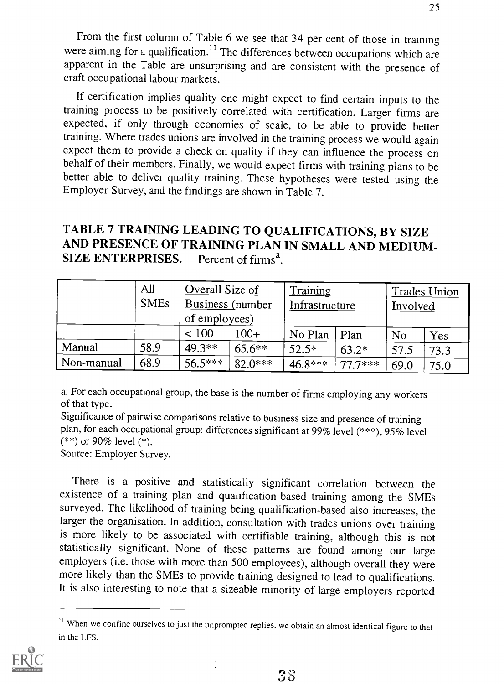From the first column of Table 6 we see that 34 per cent of those in training were aiming for a qualification.<sup>11</sup> The differences between occupations which are apparent in the Table are unsurprising and are consistent with the presence of craft occupational labour markets.

If certification implies quality one might expect to find certain inputs to the training process to be positively correlated with certification. Larger firms are expected, if only through economies of scale, to be able to provide better training. Where trades unions are involved in the training process we would again expect them to provide a check on quality if they can influence the process on behalf of their members. Finally, we would expect firms with training plans to be better able to deliver quality training. These hypotheses were tested using the Employer Survey, and the findings are shown in Table 7.

## TABLE 7 TRAINING LEADING TO QUALIFICATIONS, BY SIZE AND PRESENCE OF TRAINING PLAN IN SMALL AND MEDIUM-<br>SIZE ENTERPRISES. Percent of firms<sup>a</sup>. SIZE ENTERPRISES.

|            | All<br><b>SMEs</b> | Overall Size of<br><b>Business</b> (number<br>of employees) |           | Training  | Infrastructure |                | Trades Union<br>Involved |  |
|------------|--------------------|-------------------------------------------------------------|-----------|-----------|----------------|----------------|--------------------------|--|
|            |                    | ${}< 100$                                                   | $100+$    | No Plan   | Plan           | N <sub>o</sub> | Yes                      |  |
| Manual     | 58.9               | 49.3**                                                      | $65.6**$  | $52.5*$   | $63.2*$        | 57.5           | 73.3                     |  |
| Non-manual | 68.9               | 56.5***                                                     | $82.0***$ | $46.8***$ | $77.7***$      | 69.0           | 75.0                     |  |

a. For each occupational group, the base is the number of firms employing any workers of that type.

Significance of pairwise comparisons relative to business size and presence of training plan, for each occupational group: differences significant at 99% level (\*\*\*), 95% level  $(**)$  or 90% level  $(*)$ .

Source: Employer Survey.

There is a positive and statistically significant correlation between the existence of a training plan and qualification-based training among the SMEs surveyed. The likelihood of training being qualification-based also increases, the larger the organisation. In addition, consultation with trades unions over training is more likely to be associated with certifiable training, although this is not statistically significant. None of these patterns are found among our large employers (i.e. those with more than 500 employees), although overall they were more likely than the SMEs to provide training designed to lead to qualifications. It is also interesting to note that a sizeable minority of large employers reported

<sup>&</sup>lt;sup>11</sup> When we confine ourselves to just the unprompted replies, we obtain an almost identical figure to that in the LFS.

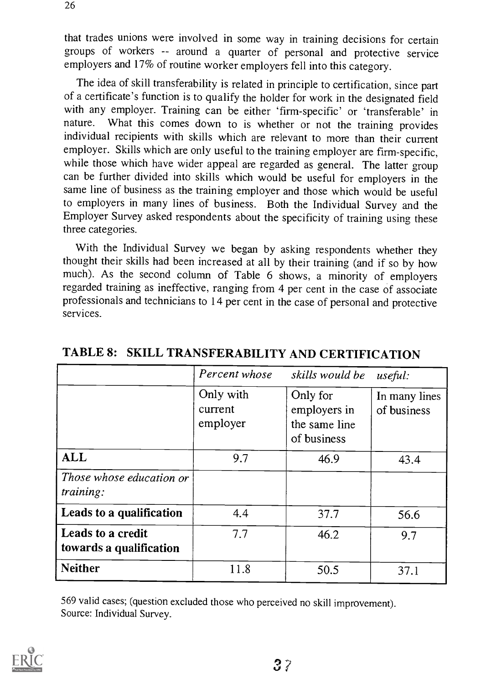that trades unions were involved in some way in training decisions for certain groups of workers -- around a quarter of personal and protective service employers and 17% of routine worker employers fell into this category.

The idea of skill transferability is related in principle to certification, since part of a certificate's function is to qualify the holder for work in the designated field with any employer. Training can be either 'firm-specific' or 'transferable' in nature. What this comes down to is whether or not the training provides What this comes down to is whether or not the training provides individual recipients with skills which are relevant to more than their current employer. Skills which are only useful to the training employer are firm-specific, while those which have wider appeal are regarded as general. The latter group can be further divided into skills which would be useful for employers in the same line of business as the training employer and those which would be useful to employers in many lines of business. Both the Individual Survey and the Employer Survey asked respondents about the specificity of training using these three categories.

With the Individual Survey we began by asking respondents whether they thought their skills had been increased at all by their training (and if so by how much). As the second column of Table 6 shows, a minority of employers regarded training as ineffective, ranging from 4 per cent in the case of associate professionals and technicians to 14 per cent in the case of personal and protective services.

|                                                     | Percent whose                    | skills would be                                          | useful:                      |
|-----------------------------------------------------|----------------------------------|----------------------------------------------------------|------------------------------|
|                                                     | Only with<br>current<br>employer | Only for<br>employers in<br>the same line<br>of business | In many lines<br>of business |
| <b>ALL</b>                                          | 9.7                              | 46.9                                                     | 43.4                         |
| <i>Those whose education or</i><br><i>training:</i> |                                  |                                                          |                              |
| Leads to a qualification                            | 4.4                              | 37.7                                                     | 56.6                         |
| <b>Leads to a credit</b><br>towards a qualification | 7.7                              | 46.2                                                     | 9.7                          |
| <b>Neither</b>                                      | 11.8                             | 50.5                                                     | 37.1                         |

## TABLE 8: SKILL TRANSFERABILITY AND CERTIFICATION

569 valid cases; (question excluded those who perceived no skill improvement). Source: Individual Survey.

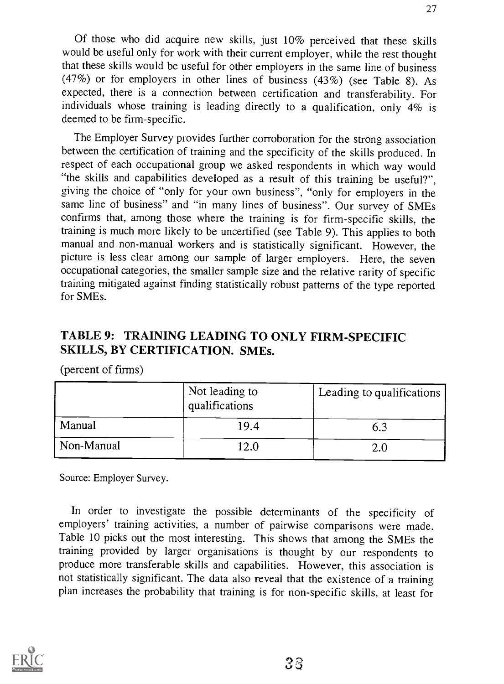Of those who did acquire new skills, just 10% perceived that these skills would be useful only for work with their current employer, while the rest thought that these skills would be useful for other employers in the same line of business (47%) or for employers in other lines of business (43%) (see Table 8). As expected, there is a connection between certification and transferability. For individuals whose training is leading directly to a qualification, only 4% is deemed to be firm-specific.

The Employer Survey provides further corroboration for the strong association between the certification of training and the specificity of the skills produced. In respect of each occupational group we asked respondents in which way would "the skills and capabilities developed as a result of this training be useful?", giving the choice of "only for your own business", "only for employers in the same line of business" and "in many lines of business". Our survey of SMEs confirms that, among those where the training is for firm-specific skills, the training is much more likely to be uncertified (see Table 9). This applies to both manual and non-manual workers and is statistically significant. However, the picture is less clear among our sample of larger employers. Here, the seven occupational categories, the smaller sample size and the relative rarity of specific training mitigated against finding statistically robust patterns of the type reported for SMEs.

## TABLE 9: TRAINING LEADING TO ONLY FIRM-SPECIFIC SKILLS, BY CERTIFICATION. SMEs.

(percent of firms)

|            | Not leading to<br>qualifications | Leading to qualifications |
|------------|----------------------------------|---------------------------|
| Manual     | 19.4                             | 6.3                       |
| Non-Manual | 12.0                             | <u>ን በ</u>                |

Source: Employer Survey.

In order to investigate the possible determinants of the specificity of employers' training activities, a number of pairwise comparisons were made. Table 10 picks out the most interesting. This shows that among the SMEs the training provided by larger organisations is thought by our respondents to produce more transferable skills and capabilities. However, this association is not statistically significant. The data also reveal that the existence of a training plan increases the probability that training is for non-specific skills, at least for

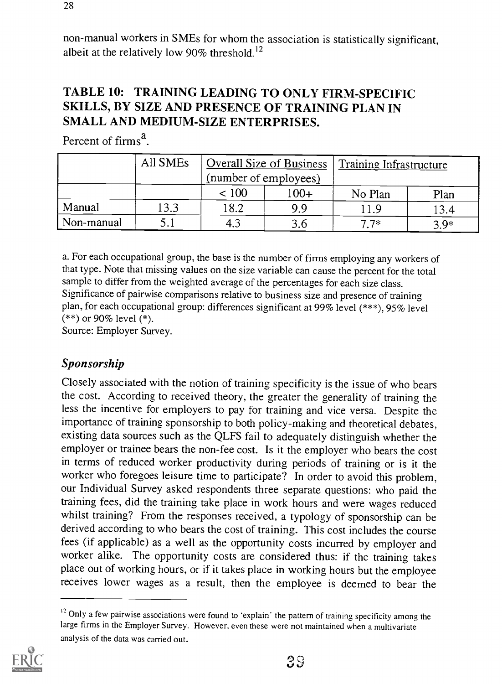non-manual workers in SMEs for whom the association is statistically significant, albeit at the relatively low 90% threshold.<sup>12</sup>

## TABLE 10: TRAINING LEADING TO ONLY FIRM-SPECIFIC SKILLS, BY SIZE AND PRESENCE OF TRAINING PLAN IN SMALL AND MEDIUM-SIZE ENTERPRISES.

Percent of firms<sup> $a$ </sup>.

|            | All SMEs | Overall Size of Business |        | Training Infrastructure |        |
|------------|----------|--------------------------|--------|-------------------------|--------|
|            |          | (number of employees)    |        |                         |        |
|            |          | < 100                    | $100+$ | No Plan                 | Plan   |
| Manual     | 13.3     | 18.2                     | 9.9    | 11.9                    | 13.4   |
| Non-manual |          |                          | 3.6    | 7 7*                    | $3.9*$ |

a. For each occupational group, the base is the number of firms employing any workers of that type. Note that missing values on the size variable can cause the percent for the total sample to differ from the weighted average of the percentages for each size class. Significance of pairwise comparisons relative to business size and presence of training plan, for each occupational group: differences significant at 99% level (\*\*\*), 95% level (\*\*) or 90% level (\*).

Source: Employer Survey.

## Sponsorship

Closely associated with the notion of training specificity is the issue of who bears the cost. According to received theory, the greater the generality of training the less the incentive for employers to pay for training and vice versa. Despite the importance of training sponsorship to both policy-making and theoretical debates, existing data sources such as the QLFS fail to adequately distinguish whether the employer or trainee bears the non-fee cost. Is it the employer who bears the cost in terms of reduced worker productivity during periods of training or is it the worker who foregoes leisure time to participate? In order to avoid this problem, our Individual Survey asked respondents three separate questions: who paid the training fees, did the training take place in work hours and were wages reduced whilst training? From the responses received, a typology of sponsorship can be derived according to who bears the cost of training. This cost includes the course fees (if applicable) as a well as the opportunity costs incurred by employer and worker alike. The opportunity costs are considered thus: if the training takes place out of working hours, or if it takes place in working hours but the employee receives lower wages as a result, then the employee is deemed to bear the

 $12$  Only a few pairwise associations were found to 'explain' the pattern of training specificity among the large firms in the Employer Survey. However, even these were not maintained when a multivariate analysis of the data was carried out.

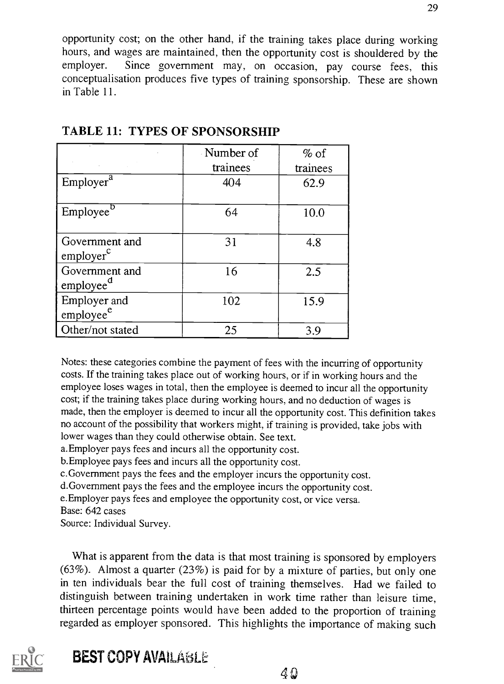opportunity cost; on the other hand, if the training takes place during working hours, and wages are maintained, then the opportunity cost is shouldered by the employer. Since government may, on occasion nay course fees this Since government may, on occasion, pay course fees, this conceptualisation produces five types of training sponsorship. These are shown in Table 11.

|                                         | Number of | $%$ of   |
|-----------------------------------------|-----------|----------|
|                                         | trainees  | trainees |
| Employer <sup>a</sup>                   | 404       | 62.9     |
| Employee <sup>5</sup>                   | 64        | 10.0     |
| Government and<br>emplayer <sup>c</sup> | 31        | 4.8      |
| Government and<br>employee <sup>a</sup> | 16        | 2.5      |
| Employer and<br>employee <sup>e</sup>   | 102       | 15.9     |
| Other/not stated                        | 25        | 3.9      |

TABLE 11: TYPES OF SPONSORSHIP

Notes: these categories combine the payment of fees with the incurring of opportunity costs. If the training takes place out of working hours, or if in working hours and the employee loses wages in total, then the employee is deemed to incur all the opportunity cost; if the training takes place during working hours, and no deduction of wages is made, then the employer is deemed to incur all the opportunity cost. This definition takes no account of the possibility that workers might, if training is provided, take jobs with lower wages than they could otherwise obtain. See text.

a.Employer pays fees and incurs all the opportunity cost.

b.Employee pays fees and incurs all the opportunity cost.

c.Government pays the fees and the employer incurs the opportunity cost.

d.Govemment pays the fees and the employee incurs the opportunity cost.

e.Employer pays fees and employee the opportunity cost, or vice versa.

Base: 642 cases

Source: Individual Survey.

What is apparent from the data is that most training is sponsored by employers (63%). Almost a quarter (23%) is paid for by a mixture of parties, but only one in ten individuals bear the full cost of training themselves. Had we failed to distinguish between training undertaken in work time rather than leisure time, thirteen percentage points would have been added to the proportion of training regarded as employer sponsored. This highlights the importance of making such

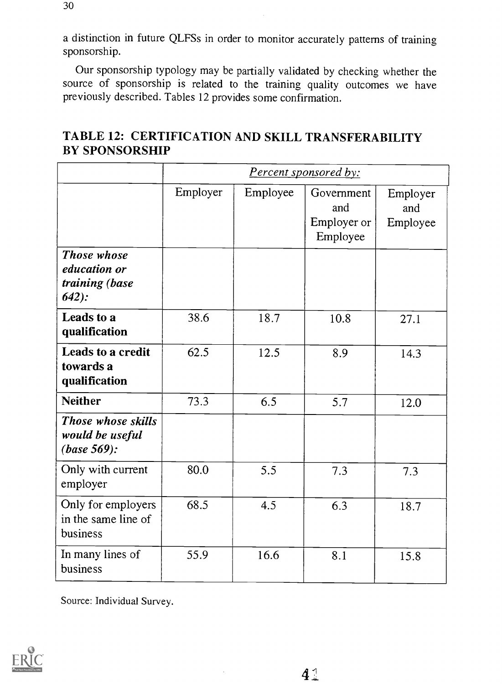a distinction in future QLFSs in order to monitor accurately patterns of training sponsorship.

Our sponsorship typology may be partially validated by checking whether the source of sponsorship is related to the training quality outcomes we have previously described. Tables 12 provides some confirmation.

|                                                          | <b>Percent sponsored by:</b> |          |                                              |                             |  |  |
|----------------------------------------------------------|------------------------------|----------|----------------------------------------------|-----------------------------|--|--|
|                                                          | Employer                     | Employee | Government<br>and<br>Employer or<br>Employee | Employer<br>and<br>Employee |  |  |
| Those whose<br>education or<br>training (base<br>$642$ : |                              |          |                                              |                             |  |  |
| Leads to a<br>qualification                              | 38.6                         | 18.7     | 10.8                                         | 27.1                        |  |  |
| Leads to a credit<br>towards a<br>qualification          | 62.5                         | 12.5     | 8.9                                          | 14.3                        |  |  |
| <b>Neither</b>                                           | 73.3                         | 6.5      | 5.7                                          | 12.0                        |  |  |
| Those whose skills<br>would be useful<br>$(base 569)$ :  |                              |          |                                              |                             |  |  |
| Only with current<br>employer                            | 80.0                         | 5.5      | 7.3                                          | 7.3                         |  |  |
| Only for employers<br>in the same line of<br>business    | 68.5                         | 4.5      | 6.3                                          | 18.7                        |  |  |
| In many lines of<br>business                             | 55.9                         | 16.6     | 8.1                                          | 15.8                        |  |  |

## TABLE 12: CERTIFICATION AND SKILL TRANSFERABILITY BY SPONSORSHIP

Source: Individual Survey.

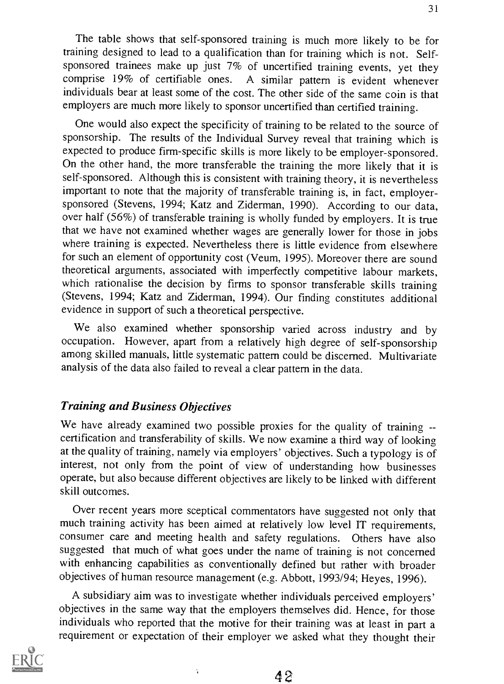One would also expect the specificity of training to be related to the source of sponsorship. The results of the Individual Survey reveal that training which is expected to produce firm-specific skills is more likely to be employer-sponsored. On the other hand, the more transferable the training the more likely that it is self-sponsored. Although this is consistent with training theory, it is nevertheless important to note that the majority of transferable training is, in fact, employersponsored (Stevens, 1994; Katz and Ziderman, 1990). According to our data, over half (56%) of transferable training is wholly funded by employers. It is true that we have not examined whether wages are generally lower for those in jobs where training is expected. Nevertheless there is little evidence from elsewhere for such an element of opportunity cost (Veum, 1995). Moreover there are sound theoretical arguments, associated with imperfectly competitive labour markets, which rationalise the decision by firms to sponsor transferable skills training (Stevens, 1994; Katz and Ziderman, 1994). Our finding constitutes additional evidence in support of such a theoretical perspective.

We also examined whether sponsorship varied across industry and by occupation. However, apart from a relatively high degree of self-sponsorship among skilled manuals, little systematic pattern could be discerned. Multivariate analysis of the data also failed to reveal a clear pattern in the data.

#### Training and Business Objectives

We have already examined two possible proxies for the quality of training -certification and transferability of skills. We now examine a third way of looking at the quality of training, namely via employers' objectives. Such a typology is of interest, not only from the point of view of understanding how businesses operate, but also because different objectives are likely to be linked with different skill outcomes.

Over recent years more sceptical commentators have suggested not only that much training activity has been aimed at relatively low level IT requirements, consumer care and meeting health and safety regulations. Others have also suggested that much of what goes under the name of training is not concerned with enhancing capabilities as conventionally defined but rather with broader objectives of human resource management (e.g. Abbott, 1993/94; Heyes, 1996).

A subsidiary aim was to investigate whether individuals perceived employers' objectives in the same way that the employers themselves did. Hence, for those individuals who reported that the motive for their training was at least in part a requirement or expectation of their employer we asked what they thought their

 $\ddot{\phantom{a}}$ 

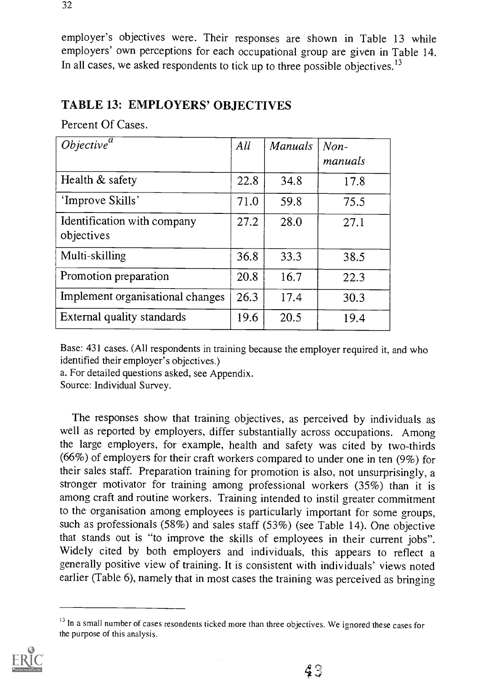employer's objectives were. Their responses are shown in Table 13 while employers' own perceptions for each occupational group are given in Table 14. In all cases, we asked respondents to tick up to three possible objectives.<sup>13</sup>

#### TABLE 13: EMPLOYERS' OBJECTIVES

Percent Of Cases.

| Objective <sup>a</sup>                    | All  | Manuals | $Non-$<br>manuals |
|-------------------------------------------|------|---------|-------------------|
| Health $&$ safety                         | 22.8 | 34.8    | 17.8              |
| 'Improve Skills'                          | 71.0 | 59.8    | 75.5              |
| Identification with company<br>objectives | 27.2 | 28.0    | 27.1              |
| Multi-skilling                            | 36.8 | 33.3    | 38.5              |
| Promotion preparation                     | 20.8 | 16.7    | 22.3              |
| Implement organisational changes          | 26.3 | 17.4    | 30.3              |
| External quality standards                | 19.6 | 20.5    | 19.4              |

Base: 431 cases. (All respondents in training because the employer required it, and who identified their employer's objectives.)

a. For detailed questions asked, see Appendix.

Source: Individual Survey.

The responses show that training objectives, as perceived by individuals as well as reported by employers, differ substantially across occupations. Among the large employers, for example, health and safety was cited by two-thirds (66%) of employers for their craft workers compared to under one in ten (9%) for their sales staff. Preparation training for promotion is also, not unsurprisingly, a stronger motivator for training among professional workers (35%) than it is among craft and routine workers. Training intended to instil greater commitment to the organisation among employees is particularly important for some groups, such as professionals (58%) and sales staff (53%) (see Table 14). One objective that stands out is "to improve the skills of employees in their current jobs". Widely cited by both employers and individuals, this appears to reflect a generally positive view of training. It is consistent with individuals' views noted earlier (Table 6), namely that in most cases the training was perceived as bringing

<sup>&</sup>lt;sup>13</sup> In a small number of cases resondents ticked more than three objectives. We ignored these cases for the purpose of this analysis.

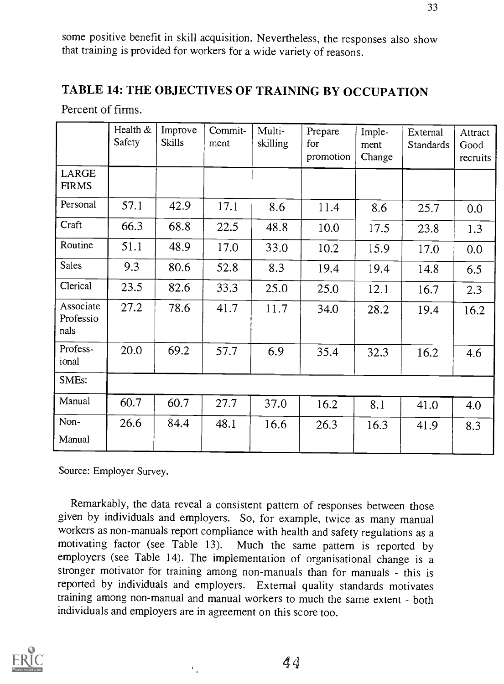some positive benefit in skill acquisition. Nevertheless, the responses also show that training is provided for workers for a wide variety of reasons.

33

## TABLE 14: THE OBJECTIVES OF TRAINING BY OCCUPATION

|                                | Health &<br>Safety | Improve<br><b>Skills</b> | Commit-<br>ment | Multi-<br>skilling | Prepare<br>for<br>promotion | Imple-<br>ment<br>Change | External<br><b>Standards</b> | Attract<br>Good<br>recruits |
|--------------------------------|--------------------|--------------------------|-----------------|--------------------|-----------------------------|--------------------------|------------------------------|-----------------------------|
| LARGE<br><b>FIRMS</b>          |                    |                          |                 |                    |                             |                          |                              |                             |
| Personal                       | 57.1               | 42.9                     | 17.1            | 8.6                | 11.4                        | 8.6                      | 25.7                         | 0.0                         |
| Craft                          | 66.3               | 68.8                     | 22.5            | 48.8               | 10.0                        | 17.5                     | 23.8                         | 1.3                         |
| Routine                        | 51.1               | 48.9                     | 17.0            | 33.0               | 10.2                        | 15.9                     | 17.0                         | 0.0                         |
| <b>Sales</b>                   | 9.3                | 80.6                     | 52.8            | 8.3                | 19.4                        | 19.4                     | 14.8                         | 6.5                         |
| Clerical                       | 23.5               | 82.6                     | 33.3            | 25.0               | 25.0                        | 12.1                     | 16.7                         | 2.3                         |
| Associate<br>Professio<br>nals | 27.2               | 78.6                     | 41.7            | 11.7               | 34.0                        | 28.2                     | 19.4                         | 16.2                        |
| Profess-<br>ional              | 20.0               | 69.2                     | 57.7            | 6.9                | 35.4                        | 32.3                     | 16.2                         | 4.6                         |
| <b>SMEs:</b>                   |                    |                          |                 |                    |                             |                          |                              |                             |
| Manual                         | 60.7               | 60.7                     | 27.7            | 37.0               | 16.2                        | 8.1                      | 41.0                         | 4.0                         |
| Non-<br>Manual                 | 26.6               | 84.4                     | 48.1            | 16.6               | 26.3                        | 16.3                     | 41.9                         | 8.3                         |

Source: Employer Survey.

Remarkably, the data reveal a consistent pattern of responses between those given by individuals and employers. So, for example, twice as many manual workers as non-manuals report compliance with health and safety regulations as a motivating factor (see Table 13). Much the same pattern is reported by Much the same pattern is reported by employers (see Table 14). The implementation of organisational change is a stronger motivator for training among non-manuals than for manuals - this is reported by individuals and employers. External quality standards motivates training among non-manual and manual workers to much the same extent - both individuals and employers are in agreement on this score too.

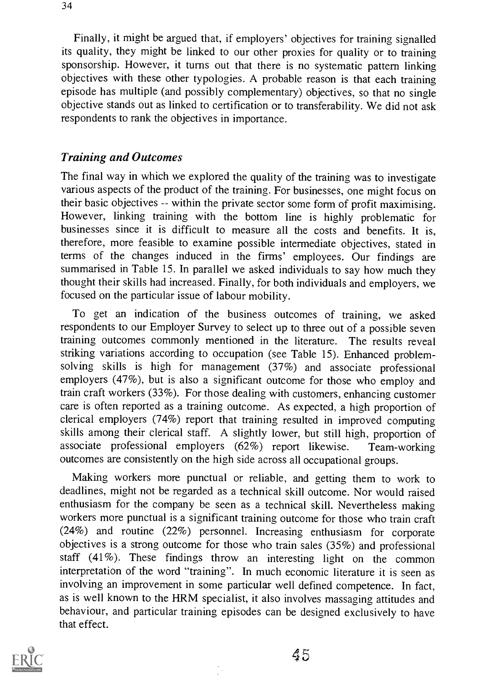Finally, it might be argued that, if employers' objectives for training signalled its quality, they might be linked to our other proxies for quality or to training sponsorship. However, it turns out that there is no systematic pattern linking objectives with these other typologies. A probable reason is that each training episode has multiple (and possibly complementary) objectives, so that no single objective stands out as linked to certification or to transferability. We did not ask respondents to rank the objectives in importance.

#### Training and Outcomes

The final way in which we explored the quality of the training was to investigate various aspects of the product of the training. For businesses, one might focus on their basic objectives -- within the private sector some form of profit maximising. However, linking training with the bottom line is highly problematic for businesses since it is difficult to measure all the costs and benefits. It is, therefore, more feasible to examine possible intermediate objectives, stated in terms of the changes induced in the firms' employees. Our findings are summarised in Table 15. In parallel we asked individuals to say how much they thought their skills had increased. Finally, for both individuals and employers, we focused on the particular issue of labour mobility.

To get an indication of the business outcomes of training, we asked respondents to our Employer Survey to select up to three out of a possible seven training outcomes commonly mentioned in the literature. The results reveal striking variations according to occupation (see Table 15). Enhanced problemsolving skills is high for management (37%) and associate professional employers (47%), but is also a significant outcome for those who employ and train craft workers (33%). For those dealing with customers, enhancing customer care is often reported as a training outcome. As expected, a high proportion of clerical employers (74%) report that training resulted in improved computing skills among their clerical staff. A slightly lower, but still high, proportion of associate professional employers (62%) report likewise. Team-working outcomes are consistently on the high side across all occupational groups.

Making workers more punctual or reliable, and getting them to work to deadlines, might not be regarded as a technical skill outcome. Nor would raised enthusiasm for the company be seen as a technical skill. Nevertheless making workers more punctual is a significant training outcome for those who train craft (24%) and routine (22%) personnel. Increasing enthusiasm for corporate objectives is a strong outcome for those who train sales (35%) and professional staff (41%). These findings throw an interesting light on the common interpretation of the word "training". In much economic literature it is seen as involving an improvement in some particular well defined competence. In fact, as is well known to the HRM specialist, it also involves massaging attitudes and behaviour, and particular training episodes can be designed exclusively to have that effect.



45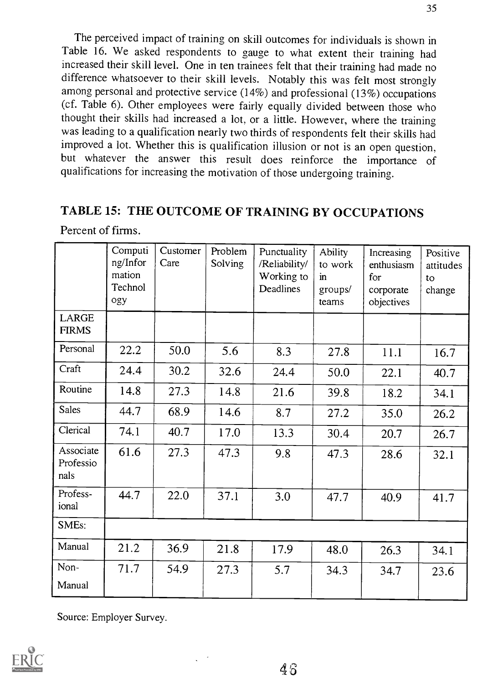The perceived impact of training on skill outcomes for individuals is shown in Table 16. We asked respondents to gauge to what extent their training had increased their skill level. One in ten trainees felt that their training had made no difference whatsoever to their skill levels. Notably this was felt most strongly among personal and protective service (14%) and professional (13%) occupations (cf. Table 6). Other employees were fairly equally divided between those who thought their skills had increased a lot, or a little. However, where the training was leading to a qualification nearly two thirds of respondents felt their skills had improved a lot. Whether this is qualification illusion or not is an open question, but whatever the answer this result does reinforce the importance of qualifications for increasing the motivation of those undergoing training.

## TABLE 15: THE OUTCOME OF TRAINING BY OCCUPATIONS

|                                | Computi<br>ng/Infor<br>mation<br>Technol<br>ogy | Customer<br>Care | Problem<br>Solving | Punctuality<br>/Reliability/<br>Working to<br>Deadlines | Ability<br>to work<br>$\mathbf{m}$<br>groups/<br>teams | Increasing<br>enthusiasm<br>for<br>corporate<br>objectives | Positive<br>attitudes<br>to<br>change |
|--------------------------------|-------------------------------------------------|------------------|--------------------|---------------------------------------------------------|--------------------------------------------------------|------------------------------------------------------------|---------------------------------------|
| <b>LARGE</b><br><b>FIRMS</b>   |                                                 |                  |                    |                                                         |                                                        |                                                            |                                       |
| Personal                       | 22.2                                            | 50.0             | 5.6                | 8.3                                                     | 27.8                                                   | 11.1                                                       | 16.7                                  |
| Craft                          | 24.4                                            | 30.2             | 32.6               | 24.4                                                    | 50.0                                                   | 22.1                                                       | 40.7                                  |
| Routine                        | 14.8                                            | 27.3             | 14.8               | 21.6                                                    | 39.8                                                   | 18.2                                                       | 34.1                                  |
| <b>Sales</b>                   | 44.7                                            | 68.9             | 14.6               | 8.7                                                     | 27.2                                                   | 35.0                                                       | 26.2                                  |
| Clerical                       | 74.1                                            | 40.7             | 17.0               | 13.3                                                    | 30.4                                                   | 20.7                                                       | 26.7                                  |
| Associate<br>Professio<br>nals | 61.6                                            | 27.3             | 47.3               | 9.8                                                     | 47.3                                                   | 28.6                                                       | 32.1                                  |
| Profess-<br>ional              | 44.7                                            | 22.0             | 37.1               | 3.0                                                     | 47.7                                                   | 40.9                                                       | 41.7                                  |
| SMEs:                          |                                                 |                  |                    |                                                         |                                                        |                                                            |                                       |
| Manual                         | 21.2                                            | 36.9             | 21.8               | 17.9                                                    | 48.0                                                   | 26.3                                                       | 34.1                                  |
| Non-<br>Manual                 | 71.7                                            | 54.9             | 27.3               | 5.7                                                     | 34.3                                                   | 34.7                                                       | 23.6                                  |

Percent of firms.

Source: Employer Survey.

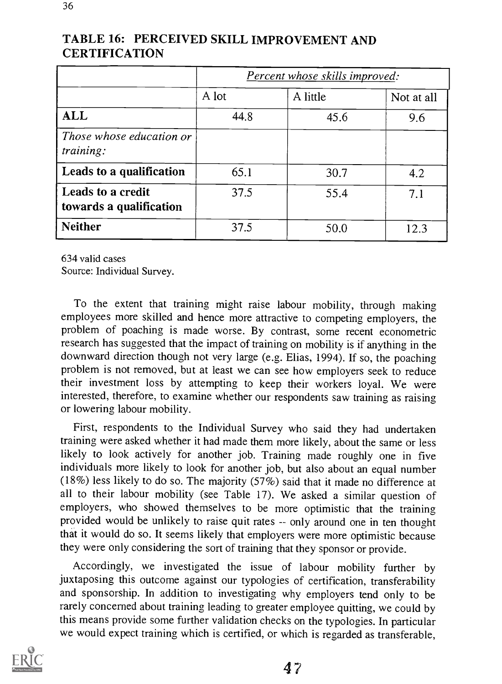|                                              | <b>Percent whose skills improved:</b> |          |            |  |  |
|----------------------------------------------|---------------------------------------|----------|------------|--|--|
|                                              | A lot                                 | A little | Not at all |  |  |
| <b>ALL</b>                                   | 44.8                                  | 45.6     | 9.6        |  |  |
| Those whose education or<br>training:        |                                       |          |            |  |  |
| Leads to a qualification                     | 65.1                                  | 30.7     | 4.2        |  |  |
| Leads to a credit<br>towards a qualification | 37.5                                  | 55.4     | 7.1        |  |  |
| <b>Neither</b>                               | 37.5                                  | 50.0     | 12.3       |  |  |

## TABLE 16: PERCEIVED SKILL IMPROVEMENT AND **CERTIFICATION**

634 valid cases

Source: Individual Survey.

To the extent that training might raise labour mobility, through making employees more skilled and hence more attractive to competing employers, the problem of poaching is made worse. By contrast, some recent econometric research has suggested that the impact of training on mobility is if anything in the downward direction though not very large (e.g. Elias, 1994). If so, the poaching problem is not removed, but at least we can see how employers seek to reduce their investment loss by attempting to keep their workers loyal. We were interested, therefore, to examine whether our respondents saw training as raising or lowering labour mobility.

First, respondents to the Individual Survey who said they had undertaken training were asked whether it had made them more likely, about the same or less likely to look actively for another job. Training made roughly one in five individuals more likely to look for another job, but also about an equal number (18%) less likely to do so. The majority (57%) said that it made no difference at all to their labour mobility (see Table 17). We asked a similar question of employers, who showed themselves to be more optimistic that the training provided would be unlikely to raise quit rates -- only around one in ten thought that it would do so. It seems likely that employers were more optimistic because they were only considering the sort of training that they sponsor or provide.

Accordingly, we investigated the issue of labour mobility further by juxtaposing this outcome against our typologies of certification, transferability and sponsorship. In addition to investigating why employers tend only to be rarely concerned about training leading to greater employee quitting, we could by this means provide some further validation checks on the typologies. In particular we would expect training which is certified, or which is regarded as transferable,

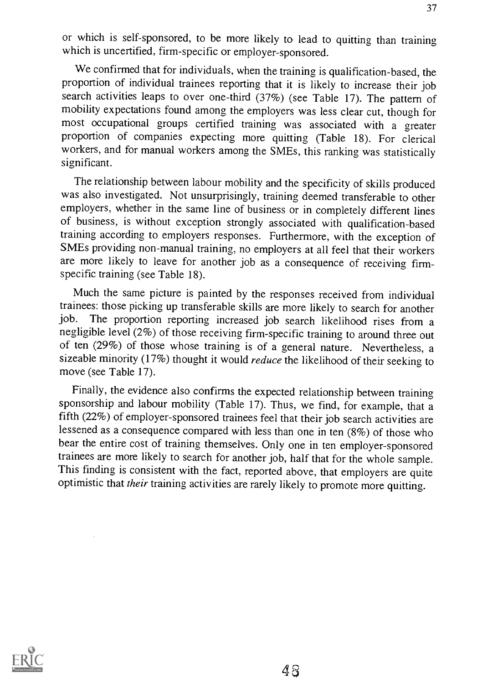or which is self-sponsored, to be more likely to lead to quitting than training which is uncertified, firm-specific or employer-sponsored.

We confirmed that for individuals, when the training is qualification-based, the proportion of individual trainees reporting that it is likely to increase their job search activities leaps to over one-third (37%) (see Table 17). The pattern of mobility expectations found among the employers was less clear cut, though for most occupational groups certified training was associated with a greater proportion of companies expecting more quitting (Table 18). For clerical workers, and for manual workers among the SMEs, this ranking was statistically significant.

The relationship between labour mobility and the specificity of skills produced was also investigated. Not unsurprisingly, training deemed transferable to other employers, whether in the same line of business or in completely different lines of business, is without exception strongly associated with qualification-based training according to employers responses. Furthermore, with the exception of SMEs providing non-manual training, no employers at all feel that their workers are more likely to leave for another job as a consequence of receiving firmspecific training (see Table 18).

Much the same picture is painted by the responses received from individual trainees: those picking up transferable skills are more likely to search for another job. The proportion reporting increased job search likelihood rises from a negligible level (2%) of those receiving firm-specific training to around three out of ten (29%) of those whose training is of a general nature. Nevertheless, a sizeable minority (17%) thought it would *reduce* the likelihood of their seeking to move (see Table 17).

Finally, the evidence also confirms the expected relationship between training sponsorship and labour mobility (Table 17). Thus, we find, for example, that a fifth (22%) of employer-sponsored trainees feel that their job search activities are lessened as a consequence compared with less than one in ten (8%) of those who bear the entire cost of training themselves. Only one in ten employer-sponsored trainees are more likely to search for another job, half that for the whole sample. This finding is consistent with the fact, reported above, that employers are quite optimistic that their training activities are rarely likely to promote more quitting.

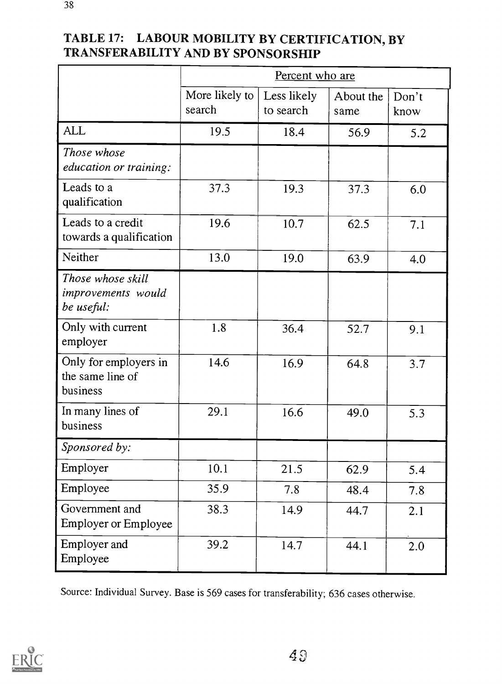|                                                       | Percent who are          |                          |                   |               |  |
|-------------------------------------------------------|--------------------------|--------------------------|-------------------|---------------|--|
|                                                       | More likely to<br>search | Less likely<br>to search | About the<br>same | Don't<br>know |  |
| <b>ALL</b>                                            | 19.5                     | 18.4                     | 56.9              | 5.2           |  |
| Those whose<br>education or training:                 |                          |                          |                   |               |  |
| Leads to a<br>qualification                           | 37.3                     | 19.3                     | 37.3              | 6.0           |  |
| Leads to a credit<br>towards a qualification          | 19.6                     | 10.7                     | 62.5              | 7.1           |  |
| Neither                                               | 13.0                     | 19.0                     | 63.9              | 4.0           |  |
| Those whose skill<br>improvements would<br>be useful: |                          |                          |                   |               |  |
| Only with current<br>employer                         | 1.8                      | 36.4                     | 52.7              | 9.1           |  |
| Only for employers in<br>the same line of<br>business | 14.6                     | 16.9                     | 64.8              | 3.7           |  |
| In many lines of<br>business                          | 29.1                     | 16.6                     | 49.0              | 5.3           |  |
| Sponsored by:                                         |                          |                          |                   |               |  |
| Employer                                              | 10.1                     | 21.5                     | 62.9              | 5.4           |  |
| Employee                                              | 35.9                     | 7.8                      | 48.4              | 7.8           |  |
| Government and<br>Employer or Employee                | 38.3                     | 14.9                     | 44.7              | 2.1           |  |
| Employer and<br>Employee                              | 39.2                     | 14.7                     | 44.1              | 2.0           |  |

Source: Individual Survey. Base is 569 cases for transferability; 636 cases otherwise.

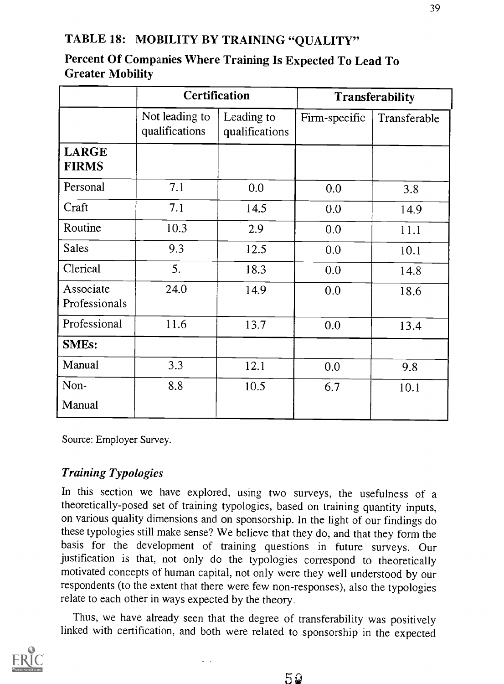## TABLE 18: MOBILITY BY TRAINING "QUALITY"

|                              |                                  | <b>Certification</b>         | <b>Transferability</b> |              |  |
|------------------------------|----------------------------------|------------------------------|------------------------|--------------|--|
|                              | Not leading to<br>qualifications | Leading to<br>qualifications | Firm-specific          | Transferable |  |
| <b>LARGE</b><br><b>FIRMS</b> |                                  |                              |                        |              |  |
| Personal                     | 7.1                              | 0.0                          | 0.0                    | 3.8          |  |
| Craft                        | 7.1                              | 14.5                         | 0.0                    | 14.9         |  |
| Routine                      | 10.3                             | 2.9                          | 0.0                    | 11.1         |  |
| <b>Sales</b>                 | 9.3                              | 12.5                         | 0.0                    | 10.1         |  |
| Clerical                     | 5.                               | 18.3                         | 0.0                    | 14.8         |  |
| Associate<br>Professionals   | 24.0                             | 14.9                         | 0.0                    | 18.6         |  |
| Professional                 | 11.6                             | 13.7                         | 0.0                    | 13.4         |  |
| <b>SMEs:</b>                 |                                  |                              |                        |              |  |
| Manual                       | 3.3                              | 12.1                         | 0.0                    | 9.8          |  |
| Non-                         | 8.8                              | 10.5                         | 6.7                    | 10.1         |  |
| Manual                       |                                  |                              |                        |              |  |

## Percent Of Companies Where Training Is Expected To Lead To Greater Mobility

Source: Employer Survey.

## Training Typologies

In this section we have explored, using two surveys, the usefulness of a theoretically-posed set of training typologies, based on training quantity inputs, on various quality dimensions and on sponsorship. In the light of our findings do these typologies still make sense? We believe that they do, and that they form the basis for the development of training questions in future surveys. Our justification is that, not only do the typologies correspond to theoretically motivated concepts of human capital, not only were they well understood by our respondents (to the extent that there were few non-responses), also the typologies relate to each other in ways expected by the theory.

Thus, we have already seen that the degree of transferability was positively linked with certification, and both were related to sponsorship in the expected

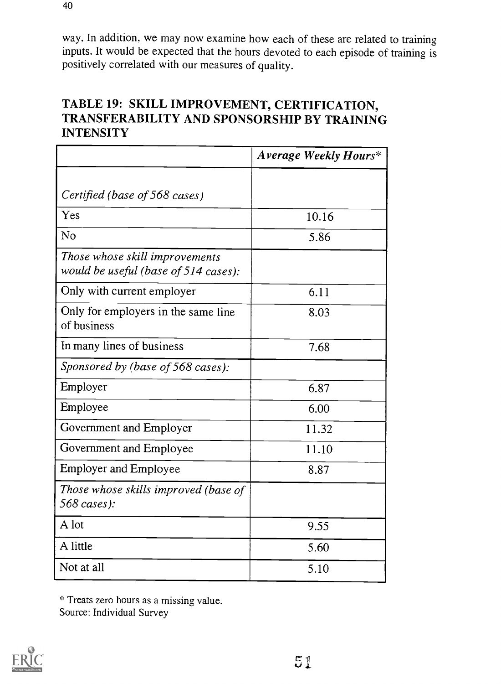way. In addition, we may now examine how each of these are related to training inputs. It would be expected that the hours devoted to each episode of training is positively correlated with our measures of quality.

## TABLE 19: SKILL IMPROVEMENT, CERTIFICATION, TRANSFERABILITY AND SPONSORSHIP BY TRAINING **INTENSITY**

|                                                                        | Average Weekly Hours* |
|------------------------------------------------------------------------|-----------------------|
|                                                                        |                       |
| Certified (base of 568 cases)                                          |                       |
| Yes                                                                    | 10.16                 |
| N <sub>o</sub>                                                         | 5.86                  |
| Those whose skill improvements<br>would be useful (base of 514 cases): |                       |
| Only with current employer                                             | 6.11                  |
| Only for employers in the same line<br>of business                     | 8.03                  |
| In many lines of business                                              | 7.68                  |
| Sponsored by (base of 568 cases):                                      |                       |
| Employer                                                               | 6.87                  |
| Employee                                                               | 6.00                  |
| Government and Employer                                                | 11.32                 |
| Government and Employee                                                | 11.10                 |
| <b>Employer and Employee</b>                                           | 8.87                  |
| Those whose skills improved (base of<br>568 cases):                    |                       |
| A lot                                                                  | 9.55                  |
| A little                                                               | 5.60                  |
| Not at all                                                             | 5.10                  |

\* Treats zero hours as a missing value. Source: Individual Survey

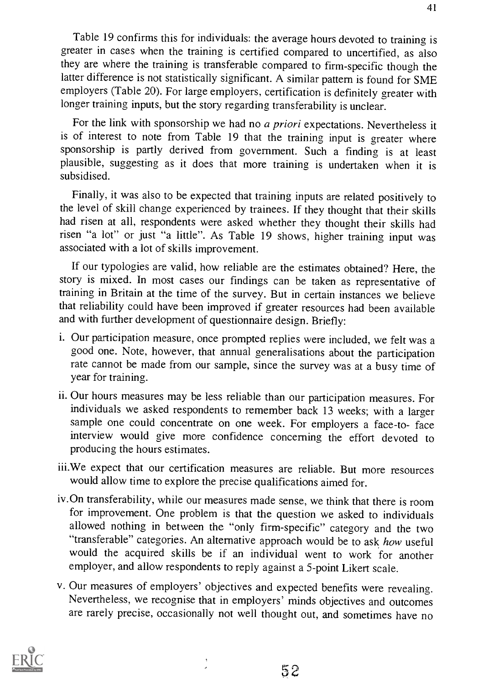Table 19 confirms this for individuals: the average hours devoted to training is greater in cases when the training is certified compared to uncertified, as also they are where the training is transferable compared to firm-specific though the latter difference is not statistically significant. A similar pattern is found for SME employers (Table 20). For large employers, certification is definitely greater with longer training inputs, but the story regarding transferability is unclear.

For the link with sponsorship we had no a priori expectations. Nevertheless it is of interest to note from Table 19 that the training input is greater where sponsorship is partly derived from government. Such a finding is at least plausible, suggesting as it does that more training is undertaken when it is subsidised.

Finally, it was also to be expected that training inputs are related positively to the level of skill change experienced by trainees. If they thought that their skills had risen at all, respondents were asked whether they thought their skills had risen "a lot" or just "a little". As Table 19 shows, higher training input was associated with a lot of skills improvement.

If our typologies are valid, how reliable are the estimates obtained? Here, the story is mixed. In most cases our findings can be taken as representative of training in Britain at the time of the survey. But in certain instances we believe that reliability could have been improved if greater resources had been available and with further development of questionnaire design. Briefly:

- i. Our participation measure, once prompted replies were included, we felt was a good one. Note, however, that annual generalisations about the participation rate cannot be made from our sample, since the survey was at a busy time of year for training.
- ii. Our hours measures may be less reliable than our participation measures. For individuals we asked respondents to remember back 13 weeks; with a larger sample one could concentrate on one week. For employers a face-to- face interview would give more confidence concerning the effort devoted to producing the hours estimates.
- iii.We expect that our certification measures are reliable. But more resources would allow time to explore the precise qualifications aimed for.
- iv.On transferability, while our measures made sense, we think that there is room for improvement. One problem is that the question we asked to individuals allowed nothing in between the "only firm-specific" category and the two "transferable" categories. An alternative approach would be to ask how useful would the acquired skills be if an individual went to work for another employer, and allow respondents to reply against a 5-point Likert scale.
- v. Our measures of employers' objectives and expected benefits were revealing. Nevertheless, we recognise that in employers' minds objectives and outcomes are rarely precise, occasionally not well thought out, and sometimes have no



41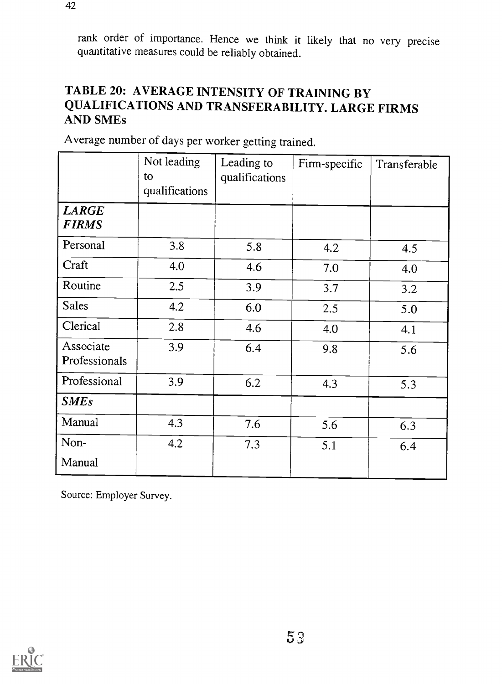rank order of importance. Hence we think it likely that no very precise quantitative measures could be reliably obtained.

## TABLE 20: AVERAGE INTENSITY OF TRAINING BY QUALIFICATIONS AND TRANSFERABILITY. LARGE FIRMS AND SMEs

|                              | Not leading<br>to<br>qualifications | Leading to<br>qualifications | Firm-specific | Transferable |
|------------------------------|-------------------------------------|------------------------------|---------------|--------------|
| <b>LARGE</b><br><b>FIRMS</b> |                                     |                              |               |              |
| Personal                     | 3.8                                 | 5.8                          | 4.2           | 4.5          |
| Craft                        | 4.0                                 | 4.6                          | 7.0           | 4.0          |
| Routine                      | 2.5                                 | 3.9                          | 3.7           | 3.2          |
| <b>Sales</b>                 | 4.2                                 | 6.0                          | 2.5           | 5.0          |
| Clerical                     | 2.8                                 | 4.6                          | 4.0           | 4.1          |
| Associate<br>Professionals   | 3.9                                 | 6.4                          | 9.8           | 5.6          |
| Professional                 | 3.9                                 | 6.2                          | 4.3           | 5.3          |
| <b>SMEs</b>                  |                                     |                              |               |              |
| Manual                       | 4.3                                 | 7.6                          | 5.6           | 6.3          |
| Non-                         | 4.2                                 | 7.3                          | 5.1           | 6.4          |
| Manual                       |                                     |                              |               |              |

Average number of days per worker getting trained.

Source: Employer Survey.

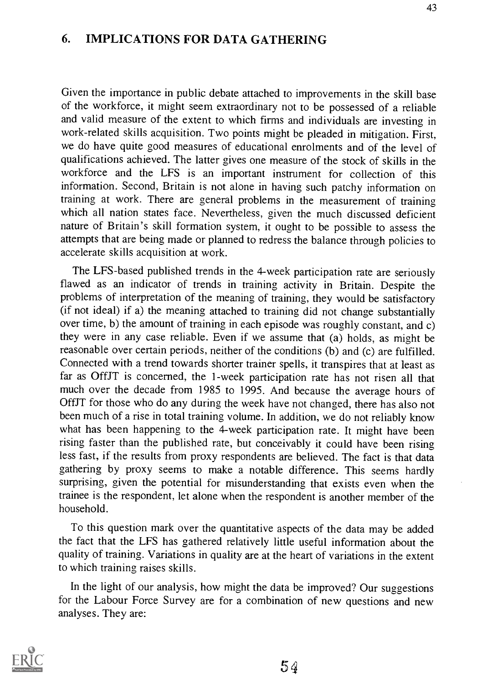#### 6. IMPLICATIONS FOR DATA GATHERING

Given the importance in public debate attached to improvements in the skill base of the workforce, it might seem extraordinary not to be possessed of a reliable and valid measure of the extent to which firms and individuals are investing in work-related skills acquisition. Two points might be pleaded in mitigation. First, we do have quite good measures of educational enrolments and of the level of qualifications achieved. The latter gives one measure of the stock of skills in the workforce and the LFS is an important instrument for collection of this information. Second, Britain is not alone in having such patchy information on training at work. There are general problems in the measurement of training which all nation states face. Nevertheless, given the much discussed deficient nature of Britain's skill formation system, it ought to be possible to assess the attempts that are being made or planned to redress the balance through policies to accelerate skills acquisition at work.

The LFS-based published trends in the 4-week participation rate are seriously flawed as an indicator of trends in training activity in Britain. Despite the problems of interpretation of the meaning of training, they would be satisfactory (if not ideal) if a) the meaning attached to training did not change substantially over time, b) the amount of training in each episode was roughly constant, and c) they were in any case reliable. Even if we assume that (a) holds, as might be reasonable over certain periods, neither of the conditions (b) and (c) are fulfilled. Connected with a trend towards shorter trainer spells, it transpires that at least as far as OffJT is concerned, the 1-week participation rate has not risen all that much over the decade from 1985 to 1995. And because the average hours of OffJT for those who do any during the week have not changed, there has also not been much of a rise in total training volume. In addition, we do not reliably know what has been happening to the 4-week participation rate. It might have been rising faster than the published rate, but conceivably it could have been rising less fast, if the results from proxy respondents are believed. The fact is that data gathering by proxy seems to make a notable difference. This seems hardly surprising, given the potential for misunderstanding that exists even when the trainee is the respondent, let alone when the respondent is another member of the household.

To this question mark over the quantitative aspects of the data may be added the fact that the LFS has gathered relatively little useful information about the quality of training. Variations in quality are at the heart of variations in the extent to which training raises skills.

In the light of our analysis, how might the data be improved? Our suggestions for the Labour Force Survey are for a combination of new questions and new analyses. They are:

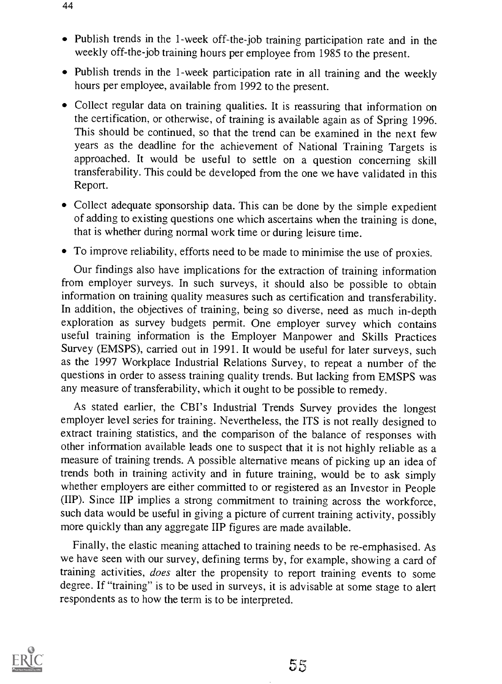- Publish trends in the 1-week off-the-job training participation rate and in the weekly off-the-job training hours per employee from 1985 to the present.
- Publish trends in the 1-week participation rate in all training and the weekly hours per employee, available from 1992 to the present.
- Collect regular data on training qualities. It is reassuring that information on the certification, or otherwise, of training is available again as of Spring 1996. This should be continued, so that the trend can be examined in the next few years as the deadline for the achievement of National Training Targets is approached. It would be useful to settle on a question concerning skill transferability. This could be developed from the one we have validated in this Report.
- Collect adequate sponsorship data. This can be done by the simple expedient of adding to existing questions one which ascertains when the training is done, that is whether during normal work time or during leisure time.
- To improve reliability, efforts need to be made to minimise the use of proxies.

Our findings also have implications for the extraction of training information from employer surveys. In such surveys, it should also be possible to obtain information on training quality measures such as certification and transferability. In addition, the objectives of training, being so diverse, need as much in-depth exploration as survey budgets permit. One employer survey which contains useful training information is the Employer Manpower and Skills Practices Survey (EMSPS), carried out in 1991. It would be useful for later surveys, such as the 1997 Workplace Industrial Relations Survey, to repeat a number of the questions in order to assess training quality trends. But lacking from EMSPS was any measure of transferability, which it ought to be possible to remedy.

As stated earlier, the CBI's Industrial Trends Survey provides the longest employer level series for training. Nevertheless, the ITS is not really designed to extract training statistics, and the comparison of the balance of responses with other information available leads one to suspect that it is not highly reliable as a measure of training trends. A possible alternative means of picking up an idea of trends both in training activity and in future training, would be to ask simply whether employers are either committed to or registered as an Investor in People (IIP). Since IIP implies a strong commitment to training across the workforce, such data would be useful in giving a picture of current training activity, possibly more quickly than any aggregate IIP figures are made available.

Finally, the elastic meaning attached to training needs to be re-emphasised. As we have seen with our survey, defining terms by, for example, showing a card of training activities, does alter the propensity to report training events to some degree. If "training" is to be used in surveys, it is advisable at some stage to alert respondents as to how the term is to be interpreted.

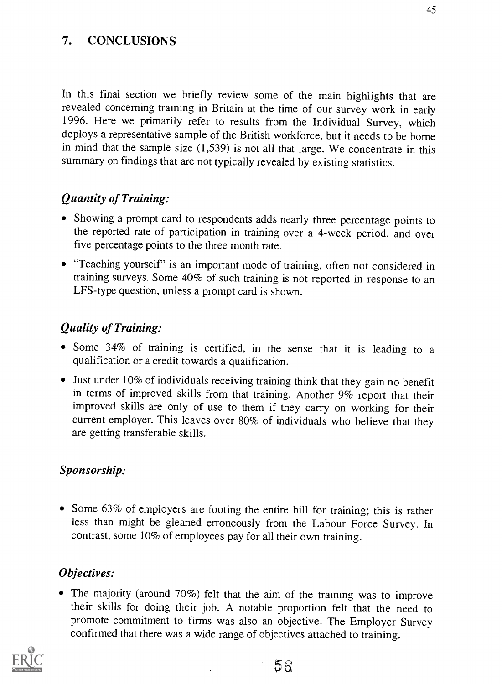## 7. CONCLUSIONS

In this final section we briefly review some of the main highlights that are revealed concerning training in Britain at the time of our survey work in early 1996. Here we primarily refer to results from the Individual Survey, which deploys a representative sample of the British workforce, but it needs to be borne in mind that the sample size (1,539) is not all that large. We concentrate in this summary on findings that are not typically revealed by existing statistics.

### Quantity of Training:

- Showing a prompt card to respondents adds nearly three percentage points to the reported rate of participation in training over a 4-week period, and over five percentage points to the three month rate.
- "Teaching yourself' is an important mode of training, often not considered in training surveys. Some 40% of such training is not reported in response to an LFS-type question, unless a prompt card is shown.

#### Quality of Training:

- Some 34% of training is certified, in the sense that it is leading to a qualification or a credit towards a qualification.
- Just under 10% of individuals receiving training think that they gain no benefit in terms of improved skills from that training. Another 9% report that their improved skills are only of use to them if they carry on working for their current employer. This leaves over 80% of individuals who believe that they are getting transferable skills.

#### Sponsorship:

• Some 63% of employers are footing the entire bill for training; this is rather less than might be gleaned erroneously from the Labour Force Survey. In contrast, some 10% of employees pay for all their own training.

## Objectives:

The majority (around 70%) felt that the aim of the training was to improve their skills for doing their job. A notable proportion felt that the need to promote commitment to firms was also an objective. The Employer Survey confirmed that there was a wide range of objectives attached to training.



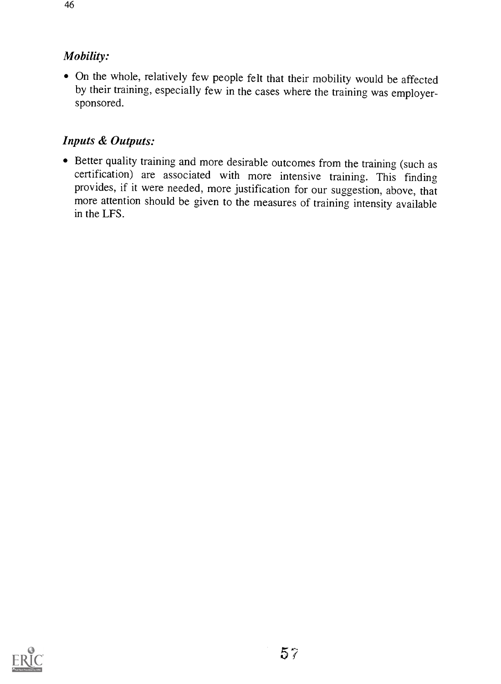## Mobility:

On the whole, relatively few people felt that their mobility would be affected by their training, especially few in the cases where the training was employersponsored.

## Inputs & Outputs:

Better quality training and more desirable outcomes from the training (such as certification) are associated with more intensive training. This finding provides, if it were needed, more justification for our suggestion, above, that more attention should be given to the measures of training intensity available in the LFS.

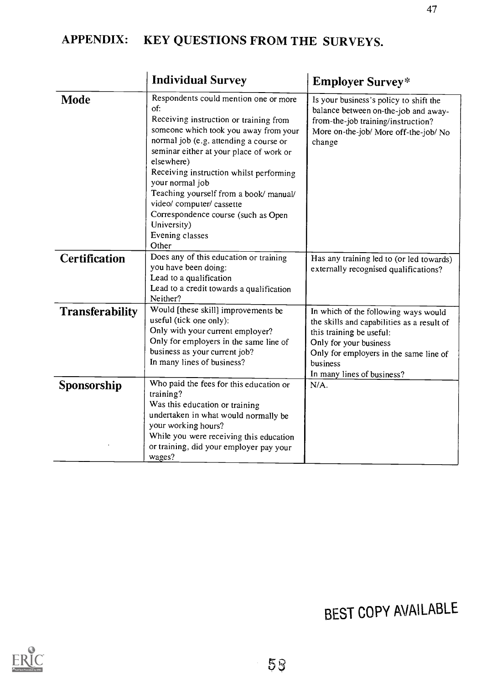## APPENDIX: KEY QUESTIONS FROM THE SURVEYS.

|                        | <b>Individual Survey</b>                                                                                                                                                                                                                                                                                                                                                                                                                                  | <b>Employer Survey*</b>                                                                                                                                                                                                      |
|------------------------|-----------------------------------------------------------------------------------------------------------------------------------------------------------------------------------------------------------------------------------------------------------------------------------------------------------------------------------------------------------------------------------------------------------------------------------------------------------|------------------------------------------------------------------------------------------------------------------------------------------------------------------------------------------------------------------------------|
| <b>Mode</b>            | Respondents could mention one or more<br>of:<br>Receiving instruction or training from<br>someone which took you away from your<br>normal job (e.g. attending a course or<br>seminar either at your place of work or<br>elsewhere)<br>Receiving instruction whilst performing<br>your normal job<br>Teaching yourself from a book/ manual/<br>video/ computer/ cassette<br>Correspondence course (such as Open<br>University)<br>Evening classes<br>Other | Is your business's policy to shift the<br>balance between on-the-job and away-<br>from-the-job training/instruction?<br>More on-the-job/ More off-the-job/ No<br>change                                                      |
| <b>Certification</b>   | Does any of this education or training<br>you have been doing:<br>Lead to a qualification<br>Lead to a credit towards a qualification<br>Neither?                                                                                                                                                                                                                                                                                                         | Has any training led to (or led towards)<br>externally recognised qualifications?                                                                                                                                            |
| <b>Transferability</b> | Would [these skill] improvements be<br>useful (tick one only):<br>Only with your current employer?<br>Only for employers in the same line of<br>business as your current job?<br>In many lines of business?                                                                                                                                                                                                                                               | In which of the following ways would<br>the skills and capabilities as a result of<br>this training be useful:<br>Only for your business<br>Only for employers in the same line of<br>business<br>In many lines of business? |
| Sponsorship            | Who paid the fees for this education or<br>training?<br>Was this education or training<br>undertaken in what would normally be<br>your working hours?<br>While you were receiving this education<br>or training, did your employer pay your<br>wages?                                                                                                                                                                                                     | $N/A$ .                                                                                                                                                                                                                      |

# BEST COPY AVAILABLE

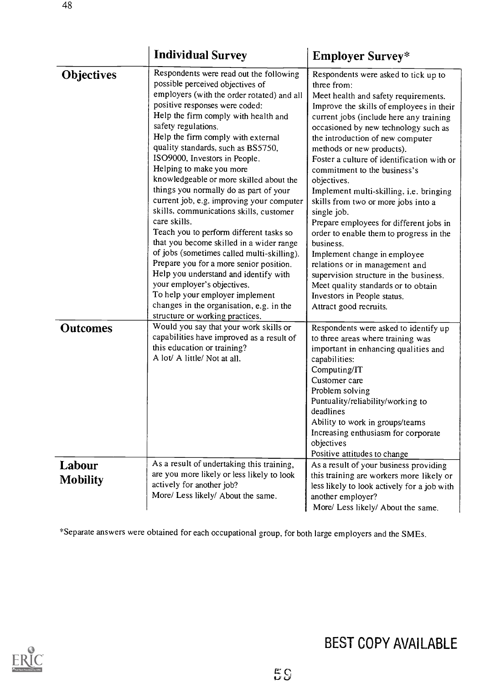|                           | <b>Individual Survey</b>                                                                                                                                                                                                                                                                                                                                                                                                                                                                                                                                                                                                                                                                                                                                                                                                                                                                                                                   | <b>Employer Survey*</b>                                                                                                                                                                                                                                                                                                                                                                                                                                                                                                                                                                                                                                                                                                                                                                                  |  |
|---------------------------|--------------------------------------------------------------------------------------------------------------------------------------------------------------------------------------------------------------------------------------------------------------------------------------------------------------------------------------------------------------------------------------------------------------------------------------------------------------------------------------------------------------------------------------------------------------------------------------------------------------------------------------------------------------------------------------------------------------------------------------------------------------------------------------------------------------------------------------------------------------------------------------------------------------------------------------------|----------------------------------------------------------------------------------------------------------------------------------------------------------------------------------------------------------------------------------------------------------------------------------------------------------------------------------------------------------------------------------------------------------------------------------------------------------------------------------------------------------------------------------------------------------------------------------------------------------------------------------------------------------------------------------------------------------------------------------------------------------------------------------------------------------|--|
| <b>Objectives</b>         | Respondents were read out the following<br>possible perceived objectives of<br>employers (with the order rotated) and all<br>positive responses were coded:<br>Help the firm comply with health and<br>safety regulations.<br>Help the firm comply with external<br>quality standards, such as BS5750,<br>ISO9000, Investors in People.<br>Helping to make you more<br>knowledgeable or more skilled about the<br>things you normally do as part of your<br>current job, e.g. improving your computer<br>skills, communications skills, customer<br>care skills.<br>Teach you to perform different tasks so<br>that you become skilled in a wider range<br>of jobs (sometimes called multi-skilling).<br>Prepare you for a more senior position.<br>Help you understand and identify with<br>your employer's objectives.<br>To help your employer implement<br>changes in the organisation, e.g. in the<br>structure or working practices. | Respondents were asked to tick up to<br>three from:<br>Meet health and safety requirements.<br>Improve the skills of employees in their<br>current jobs (include here any training<br>occasioned by new technology such as<br>the introduction of new computer<br>methods or new products).<br>Foster a culture of identification with or<br>commitment to the business's<br>objectives.<br>Implement multi-skilling, i.e. bringing<br>skills from two or more jobs into a<br>single job.<br>Prepare employees for different jobs in<br>order to enable them to progress in the<br>business.<br>Implement change in employee<br>relations or in management and<br>supervision structure in the business.<br>Meet quality standards or to obtain<br>Investors in People status.<br>Attract good recruits. |  |
| <b>Outcomes</b>           | Would you say that your work skills or<br>capabilities have improved as a result of<br>this education or training?<br>A lot/ A little/ Not at all.                                                                                                                                                                                                                                                                                                                                                                                                                                                                                                                                                                                                                                                                                                                                                                                         | Respondents were asked to identify up<br>to three areas where training was<br>important in enhancing qualities and<br>capabilities:<br>Computing/IT<br>Customer care<br>Problem solving<br>Puntuality/reliability/working to<br>deadlines<br>Ability to work in groups/teams<br>Increasing enthusiasm for corporate<br>objectives                                                                                                                                                                                                                                                                                                                                                                                                                                                                        |  |
| Labour<br><b>Mobility</b> | As a result of undertaking this training,<br>are you more likely or less likely to look<br>actively for another job?<br>More/ Less likely/ About the same.                                                                                                                                                                                                                                                                                                                                                                                                                                                                                                                                                                                                                                                                                                                                                                                 | Positive attitudes to change<br>As a result of your business providing<br>this training are workers more likely or<br>less likely to look actively for a job with<br>another employer?<br>More/ Less likely/ About the same.                                                                                                                                                                                                                                                                                                                                                                                                                                                                                                                                                                             |  |

\*Separate answers were obtained for each occupational group, for both large employers and the SMEs.

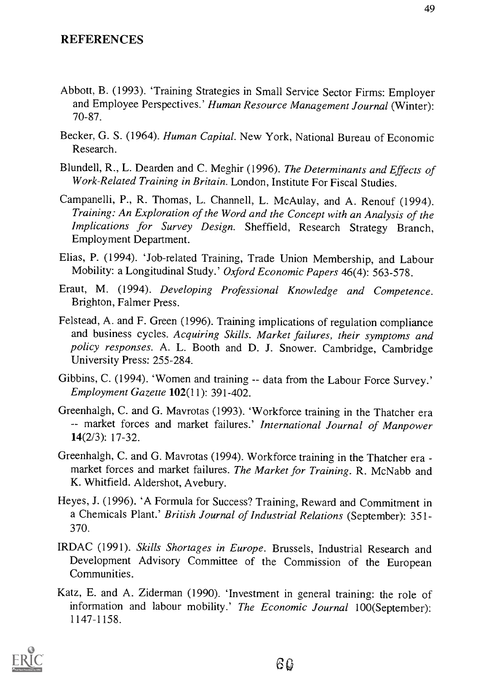- Abbott, B. (1993). 'Training Strategies in Small Service Sector Firms: Employer and Employee Perspectives.' Human Resource Management Journal (Winter): 70-87.
- Becker, G. S. (1964). Human Capital. New York, National Bureau of Economic Research.
- Blundell, R., L. Dearden and C. Meghir (1996). The Determinants and Effects of Work-Related Training in Britain. London, Institute For Fiscal Studies.
- Campanelli, P., R. Thomas, L. Channell, L. McAulay, and A. Renouf (1994). Training: An Exploration of the Word and the Concept with an Analysis of the Implications for Survey Design. Sheffield, Research Strategy Branch, Employment Department.
- Elias, P. (1994). 'Job-related Training, Trade Union Membership, and Labour Mobility: a Longitudinal Study.' Oxford Economic Papers 46(4): 563-578.
- Eraut, M. (1994). Developing Professional Knowledge and Competence. Brighton, Falmer Press.
- Felstead, A. and F. Green (1996). Training implications of regulation compliance and business cycles. Acquiring Skills. Market failures, their symptoms and policy responses. A. L. Booth and D. J. Snower. Cambridge, Cambridge University Press: 255-284.
- Gibbins, C. (1994). 'Women and training -- data from the Labour Force Survey.' Employment Gazette 102(11): 391-402.
- Greenhalgh, C. and G. Mavrotas (1993). 'Workforce training in the Thatcher era -- market forces and market failures.' International Journal of Manpower 14(2/3): 17-32.
- Greenhalgh, C. and G. Mavrotas (1994). Workforce training in the Thatcher era market forces and market failures. The Market for Training. R. McNabb and K. Whitfield. Aldershot, Avebury.
- Heyes, J. (1996). 'A Formula for Success? Training, Reward and Commitment in a Chemicals Plant.' British Journal of Industrial Relations (September): 351- 370.
- IRDAC (1991). Skills Shortages in Europe. Brussels, Industrial Research and Development Advisory Committee of the Commission of the European Communities.
- Katz, E. and A. Ziderman (1990). 'Investment in general training: the role of information and labour mobility.' The Economic Journal 100(September): 1147-1158.

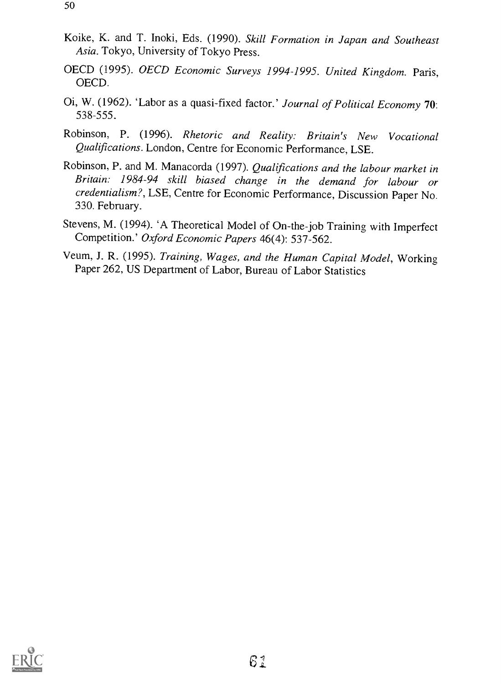- Koike, K. and T. Inoki, Eds. (1990). Skill Formation in Japan and Southeast Asia. Tokyo, University of Tokyo Press.
- OECD (1995). OECD Economic Surveys 1994-1995. United Kingdom. Paris, OECD.
- 0i, W. (1962). 'Labor as a quasi-fixed factor.' Journal of Political Economy 70: 538-555.
- Robinson, P. (1996). Rhetoric and Reality: Britain's New Vocational Qualifications. London, Centre for Economic Performance, LSE.
- Robinson, P. and M. Manacorda (1997). Qualifications and the labour market in Britain: 1984-94 skill biased change in the demand for labour or credentialism?, LSE, Centre for Economic Performance, Discussion Paper No. 330. February.
- Stevens, M. (1994). 'A Theoretical Model of On-the-job Training with Imperfect Competition.' Oxford Economic Papers 46(4): 537-562.
- Veum, J. R. (1995). Training, Wages, and the Human Capital Model, Working Paper 262, US Department of Labor, Bureau of Labor Statistics

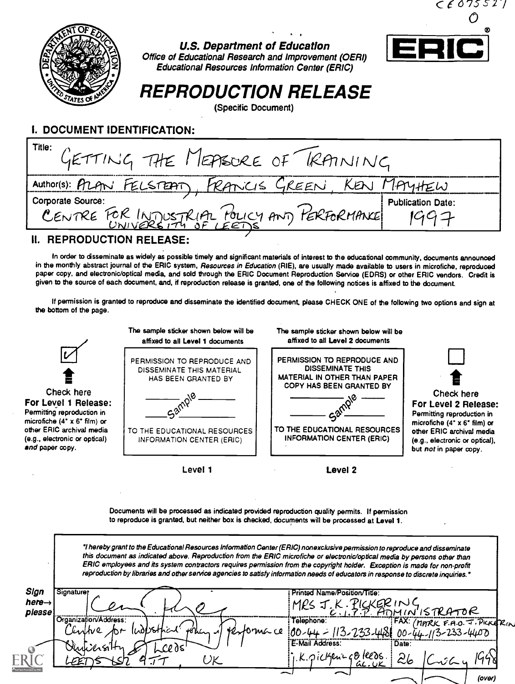

#### U.S. Department of Education Office of Educational Research and Improvement (OERI) Educational Resources Information Center (ERIC)



## REPRODUCTION RELEASE

(Specific Document)

## I. DOCUMENT IDENTIFICATION:

| Title:<br>GETTING THE MEASURE OF TRAINING                     |                   |
|---------------------------------------------------------------|-------------------|
| Author(s): PRAN FELSTEAT, FRANCIS GREEN, KEN MAYHEW           |                   |
| Corporate Source:                                             | Publication Date: |
| CENTRE FOR INTUSTRIAL FOLICY ANT PERFORMANCE PUblication Date |                   |
|                                                               |                   |

#### IL REPRODUCTION RELEASE:

In order to disseminate as widely as possible timely and significant materials of interest to the educational community, documents announced in the monthly abstract journal of the ERIC system, Resources in Education (RIE), are usually made available to users in microfiche, reproduced paper copy, and electronic/optical media, and sold through the ERIC Document Reproduction Service (EDRS) or other ERIC vendors. Credit is given to the source of each document, and, if reproduction release is granted, one of the following notices is affixed to the document.

If permission is granted to reproduce and disseminate the identified document, please CHECK ONE of the following two options and sign at the bottom of the page.



Documents will be processed as indicated provided reproduction quality permits. If permission to reproduce is granted, but neither box is checked, documents will be processed at Level 1.

'I hereby grant to the Educational Resources Information Center (ERIC) nonexclusive permission to reproduce and disseminate this document as indicated above. Reproduction from the ERIC microfiche or electronic/optical media by persons other than ERIC employees and its system contractors requires permission from the copyright holder. Exception is made for non-profit reproduction by libraries and other service agencies to satisfy information needs of educators in response to discrete inquiries.'

| Sign               | Signature;                     | Printed Name/Position/Title:                        |
|--------------------|--------------------------------|-----------------------------------------------------|
| here $\rightarrow$ |                                | "KERINC                                             |
| please             |                                | MRS<br>ISTRATOR                                     |
|                    | Organization/Address:          | FAX: (MARK F.A.O. J. PICKERIN<br>Telephone:         |
|                    | Performa ce<br>belin<br>Centre |                                                     |
|                    |                                | $-233 - 44800 - 44 - 113 - 233 - 4400$<br>$30 - 44$ |
|                    | <i>Ohrbichsi</i>               | E-Mail Address:<br>: Date:                          |
|                    | LClds                          | ik. pickenne Bleeds                                 |
|                    |                                | ∼∽<br>GL.UK                                         |
|                    |                                | ∽                                                   |
|                    |                                | (over)                                              |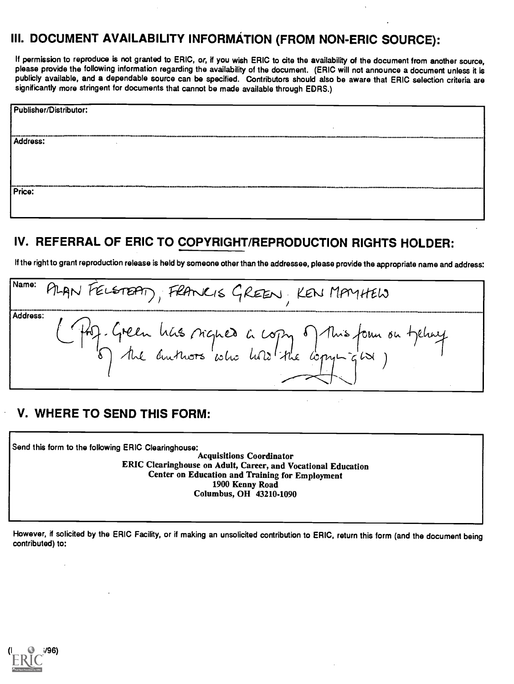## III. DOCUMENT AVAILABILITY INFORMATION (FROM NON-ERIC SOURCE):

If permission to reproduce is not granted to ERIC, or, if you wish ERIC to cite the availability of the document from another source, please provide the following information regarding the availability of the document. (ERIC will not announce a document unless it is publicly available, and a dependable source can be specified. Contributors should also be aware that ERIC selection criteria are significantly more stringent for documents that cannot be made available through EDRS.)

| Publisher/Distributor: |  |
|------------------------|--|
|                        |  |
| Address:               |  |
|                        |  |
|                        |  |
| Price:                 |  |

## IV. REFERRAL OF ERIC TO COPYRIGHT/REPRODUCTION RIGHTS HOLDER:

If the right to grant reproduction release is held by someone other than the addressee, please provide the appropriate name and address:

Name: PLAN FELSTEAT), FRANKIS GREEN, KEN MAYHEW Address: - Green has signed a copy of this four on tychny<br>) the autuors who had the copying way

#### V. WHERE TO SEND THIS FORM:

Send this form to the following ERIC Clearinghouse:

Acquisitions Coordinator ERIC Clearinghouse on Adult, Career, and Vocational Education Center on Education and Training for Employment 1900 Kenny Road Columbus, OH 43210-1090

However, if solicited by the ERIC Facility, or if making an unsolicited contribution to ERIC, return this form (and the document being contributed) to: